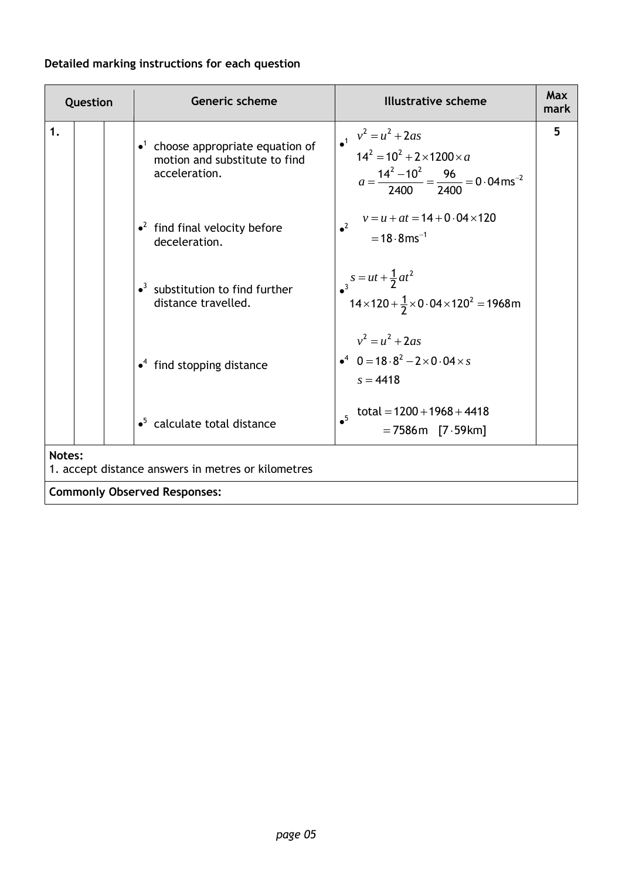# **Detailed marking instructions for each question**

| Question |                                                                     |  | <b>Generic scheme</b>                                                                                   | <b>Illustrative scheme</b>                                                                                                                             | Max<br>mark |  |  |
|----------|---------------------------------------------------------------------|--|---------------------------------------------------------------------------------------------------------|--------------------------------------------------------------------------------------------------------------------------------------------------------|-------------|--|--|
| 1.       |                                                                     |  | $\bullet$ <sup>1</sup> choose appropriate equation of<br>motion and substitute to find<br>acceleration. | $v^2 = u^2 + 2as$<br>$14^2 = 10^2 + 2 \times 1200 \times a$<br>$a = \frac{14^2 - 10^2}{2400} = \frac{96}{2400} = 0.04 \text{ ms}^{-2}$                 | 5           |  |  |
|          |                                                                     |  | $\cdot^2$ find final velocity before<br>deceleration.                                                   | $v = u + at = 14 + 0.04 \times 120$<br>$^2$<br>$= 18.8$ ms <sup>-1</sup>                                                                               |             |  |  |
|          |                                                                     |  | $\bullet$ <sup>3</sup> substitution to find further<br>distance travelled.                              | $\begin{array}{l} \n\bullet^3 = ut + \frac{1}{2}at^2\\ \n\bullet^3 14 \times 120 + \frac{1}{2} \times 0.04 \times 120^2 = 1968 \text{m} \n\end{array}$ |             |  |  |
|          |                                                                     |  | $\cdot$ <sup>4</sup> find stopping distance                                                             | $v^2 = u^2 + 2as$<br>$\bullet^4$ 0 = 18 $\cdot$ 8 <sup>2</sup> - 2 × 0 $\cdot$ 04 × s<br>$s = 4418$                                                    |             |  |  |
|          |                                                                     |  | $\bullet^5$ calculate total distance                                                                    | total = $1200 + 1968 + 4418$<br>$= 7586$ m [7.59km]                                                                                                    |             |  |  |
|          | <b>Notes:</b><br>1. accept distance answers in metres or kilometres |  |                                                                                                         |                                                                                                                                                        |             |  |  |
|          |                                                                     |  | <b>Commonly Observed Responses:</b>                                                                     |                                                                                                                                                        |             |  |  |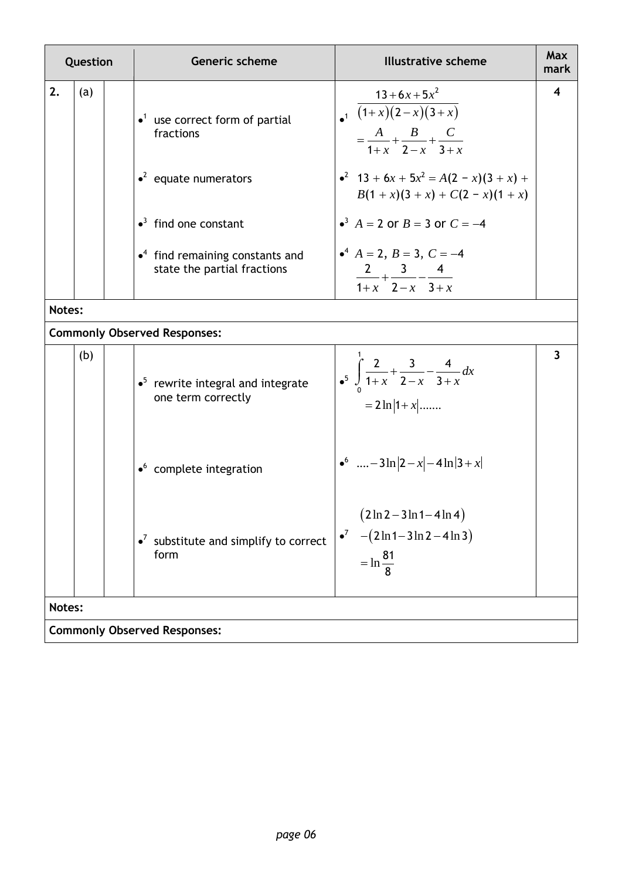| Question |                                     |  | <b>Generic scheme</b>                                                              | <b>Illustrative scheme</b>                                                                              | <b>Max</b><br>mark      |  |  |
|----------|-------------------------------------|--|------------------------------------------------------------------------------------|---------------------------------------------------------------------------------------------------------|-------------------------|--|--|
| 2.       | (a)                                 |  | $\bullet$ <sup>1</sup> use correct form of partial<br>fractions                    | $13 + 6x + 5x^2$<br>$\sqrt{(1+x)(2-x)(3+x)}$<br>$=\frac{A}{1+x}+\frac{B}{2-x}+\frac{C}{3+x}$            | $\overline{\mathbf{4}}$ |  |  |
|          |                                     |  | $\cdot^2$ equate numerators                                                        | • <sup>2</sup> 13 + 6x + 5x <sup>2</sup> = A(2 - x)(3 + x) +<br>$B(1+x)(3+x) + C(2-x)(1+x)$             |                         |  |  |
|          |                                     |  | $\bullet$ <sup>3</sup> find one constant                                           | • <sup>3</sup> $A = 2$ or $B = 3$ or $C = -4$                                                           |                         |  |  |
|          |                                     |  | $\bullet$ <sup>4</sup> find remaining constants and<br>state the partial fractions | $A^4$ $A = 2$ , $B = 3$ , $C = -4$<br>$\frac{2}{1+x} + \frac{3}{2-x} - \frac{4}{3+x}$                   |                         |  |  |
| Notes:   |                                     |  |                                                                                    |                                                                                                         |                         |  |  |
|          |                                     |  | <b>Commonly Observed Responses:</b>                                                |                                                                                                         |                         |  |  |
|          | (b)                                 |  | $\bullet^5$ rewrite integral and integrate<br>one term correctly                   | $\int_{-5}^{1} \int_{0}^{2} \frac{2}{1+x} + \frac{3}{2-x} - \frac{4}{3+x} dx$<br>$= 2 \ln  1 + x $      | $\overline{\mathbf{3}}$ |  |  |
|          |                                     |  | $\bullet$ complete integration                                                     | $\bullet^6$ - 3ln $ 2-x $ - 4ln $ 3+x $                                                                 |                         |  |  |
|          |                                     |  | $\bullet^7$ substitute and simplify to correct<br>form                             | $(2 \ln 2 - 3 \ln 1 - 4 \ln 4)$<br>$-(2\ln 1 - 3\ln 2 - 4\ln 3)$<br>$\bullet^7$<br>$= \ln \frac{81}{2}$ |                         |  |  |
| Notes:   |                                     |  |                                                                                    |                                                                                                         |                         |  |  |
|          | <b>Commonly Observed Responses:</b> |  |                                                                                    |                                                                                                         |                         |  |  |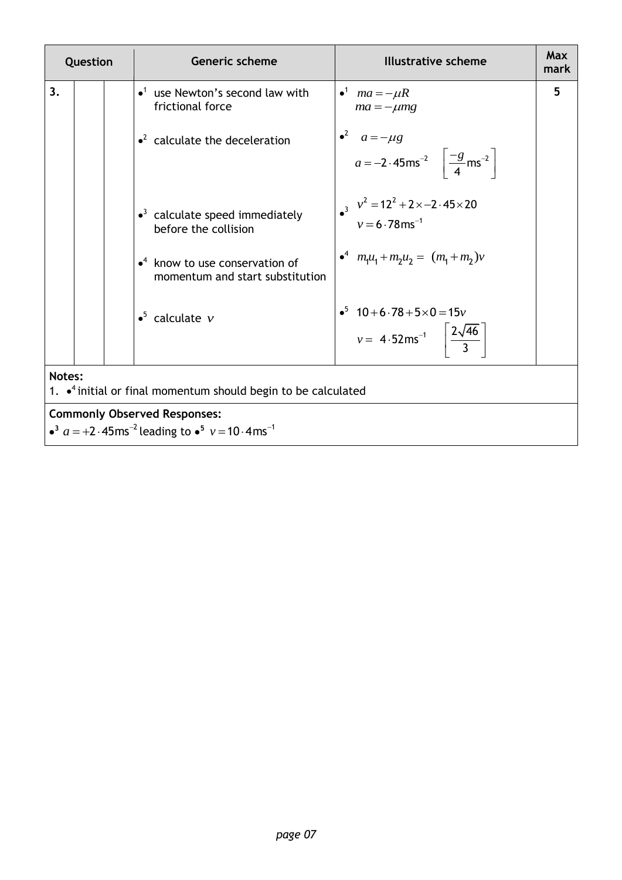| Question |                                                                                                                                          |  | Generic scheme                                                                        | <b>Illustrative scheme</b>                                                                               | Max<br>mark |  |  |
|----------|------------------------------------------------------------------------------------------------------------------------------------------|--|---------------------------------------------------------------------------------------|----------------------------------------------------------------------------------------------------------|-------------|--|--|
| 3.       |                                                                                                                                          |  | $\bullet$ <sup>1</sup> use Newton's second law with<br>frictional force               | $\bullet^1$ ma = $-\mu R$<br>$ma = -\mu mg$                                                              | 5           |  |  |
|          |                                                                                                                                          |  | $\cdot^2$ calculate the deceleration                                                  | $a^2$ $a = -\mu g$<br>$a = -2.45 \text{ms}^{-2} \left[ \frac{-g}{4} \text{ms}^{-2} \right]$              |             |  |  |
|          |                                                                                                                                          |  | $\cdot$ <sup>3</sup> calculate speed immediately<br>before the collision              | • $v^2 = 12^2 + 2 \times -2.45 \times 20$<br>$v = 6.78 \text{ ms}^{-1}$                                  |             |  |  |
|          |                                                                                                                                          |  | $\bullet$ <sup>4</sup> know to use conservation of<br>momentum and start substitution | $\bullet^4$ $m_1u_1 + m_2u_2 = (m_1 + m_2)v$                                                             |             |  |  |
|          |                                                                                                                                          |  | $\bullet^5$ calculate $\nu$                                                           | $\cdot$ <sup>5</sup> 10+6.78+5×0=15 $v$<br>$v = 4.52 \text{ms}^{-1}$ $\left[\frac{2\sqrt{46}}{3}\right]$ |             |  |  |
|          | Notes:<br>1. $\bullet$ <sup>4</sup> initial or final momentum should begin to be calculated                                              |  |                                                                                       |                                                                                                          |             |  |  |
|          | <b>Commonly Observed Responses:</b><br>• <sup>3</sup> $a = +2.45$ ms <sup>-2</sup> leading to • <sup>5</sup> $v = 10.4$ ms <sup>-1</sup> |  |                                                                                       |                                                                                                          |             |  |  |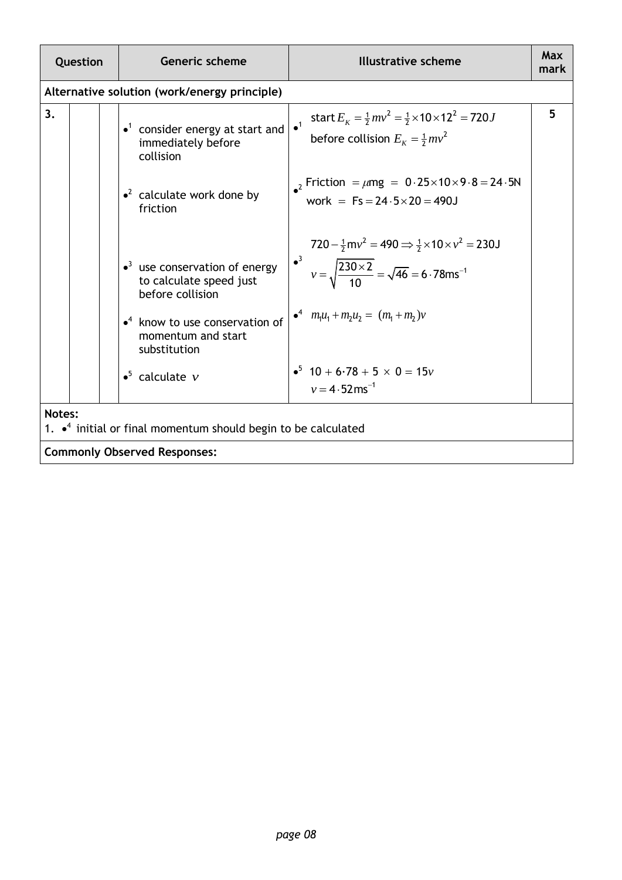| Question |                                                                                 | <b>Generic scheme</b>                                                                                                                                                                        | <b>Illustrative scheme</b>                                                                                                                                                                                                          | <b>Max</b><br>mark |  |  |
|----------|---------------------------------------------------------------------------------|----------------------------------------------------------------------------------------------------------------------------------------------------------------------------------------------|-------------------------------------------------------------------------------------------------------------------------------------------------------------------------------------------------------------------------------------|--------------------|--|--|
|          |                                                                                 | Alternative solution (work/energy principle)                                                                                                                                                 |                                                                                                                                                                                                                                     |                    |  |  |
| 3.       |                                                                                 | $\bullet$ <sup>1</sup> consider energy at start and<br>immediately before<br>collision<br>$\cdot^2$ calculate work done by<br>friction                                                       | start $E_K = \frac{1}{2}mv^2 = \frac{1}{2} \times 10 \times 12^2 = 720J$<br>$\overline{1}$<br>before collision $E_{\kappa} = \frac{1}{2}mv^2$<br>2 Friction = $\mu$ mg = 0.25×10×9.8 = 24.5N<br>work = $Fs = 24.5 \times 20 = 490J$ | 5                  |  |  |
|          |                                                                                 | $\bullet$ <sup>3</sup> use conservation of energy<br>to calculate speed just<br>before collision<br>$\bullet$ <sup>4</sup> know to use conservation of<br>momentum and start<br>substitution | $720 - \frac{1}{2}mv^2 = 490 \implies \frac{1}{2} \times 10 \times v^2 = 230J$<br>• $v = \sqrt{\frac{230 \times 2}{10}} = \sqrt{46} = 6.78 \text{ms}^{-1}$<br>$\bullet^4$ $m_1u_1 + m_2u_2 = (m_1 + m_2)v$                          |                    |  |  |
|          |                                                                                 | $\bullet^5$ calculate $\nu$                                                                                                                                                                  | • $10 + 6.78 + 5 \times 0 = 15v$<br>$v = 4.52$ ms <sup>-1</sup>                                                                                                                                                                     |                    |  |  |
| Notes:   | 1. $\cdot$ <sup>4</sup> initial or final momentum should begin to be calculated |                                                                                                                                                                                              |                                                                                                                                                                                                                                     |                    |  |  |
|          |                                                                                 | <b>Commonly Observed Responses:</b>                                                                                                                                                          |                                                                                                                                                                                                                                     |                    |  |  |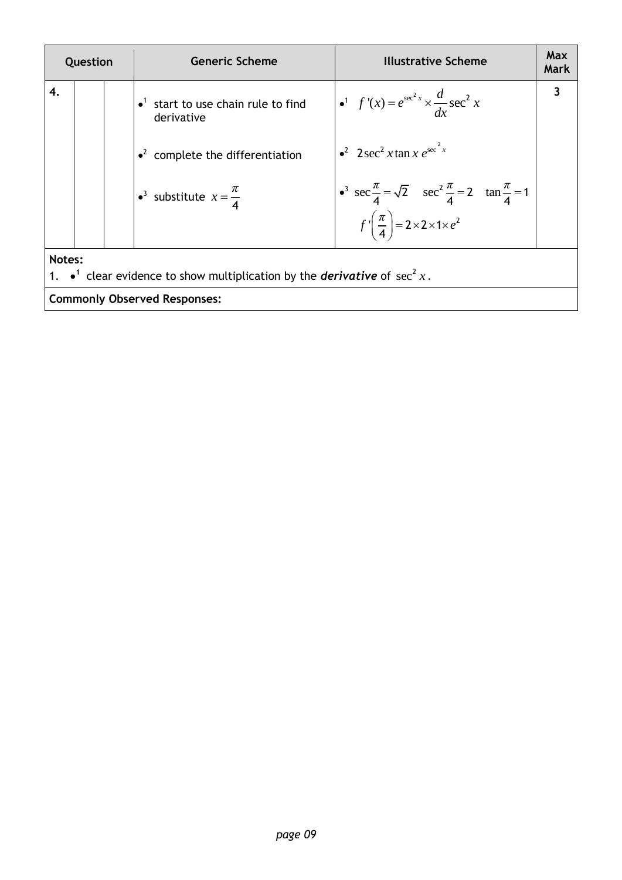| Question                                                                                                |  |  | <b>Generic Scheme</b>                                                | <b>Illustrative Scheme</b>                                                                                                                                            | Max<br>Mark |  |  |  |
|---------------------------------------------------------------------------------------------------------|--|--|----------------------------------------------------------------------|-----------------------------------------------------------------------------------------------------------------------------------------------------------------------|-------------|--|--|--|
| 4.                                                                                                      |  |  | $\bullet$ <sup>1</sup> start to use chain rule to find<br>derivative | • <sup>1</sup> • <sup>1</sup> $f'(x) = e^{\sec^2 x} \times \frac{d}{dx} \sec^2 x$                                                                                     |             |  |  |  |
|                                                                                                         |  |  | $\cdot^2$ complete the differentiation                               | $\cdot^2$ 2 sec <sup>2</sup> x tan x $e^{\sec^2 x}$                                                                                                                   |             |  |  |  |
|                                                                                                         |  |  | • <sup>3</sup> substitute $x = \frac{\pi}{4}$                        | • <sup>3</sup> $\sec \frac{\pi}{4} = \sqrt{2}$ $\sec^2 \frac{\pi}{4} = 2$ $\tan \frac{\pi}{4} = 1$<br>$f'\left(\frac{\pi}{4}\right) = 2 \times 2 \times 1 \times e^2$ |             |  |  |  |
|                                                                                                         |  |  |                                                                      |                                                                                                                                                                       |             |  |  |  |
| Notes:<br>1. $\bullet^1$ clear evidence to show multiplication by the <i>derivative</i> of $\sec^2 x$ . |  |  |                                                                      |                                                                                                                                                                       |             |  |  |  |
| <b>Commonly Observed Responses:</b>                                                                     |  |  |                                                                      |                                                                                                                                                                       |             |  |  |  |
|                                                                                                         |  |  |                                                                      |                                                                                                                                                                       |             |  |  |  |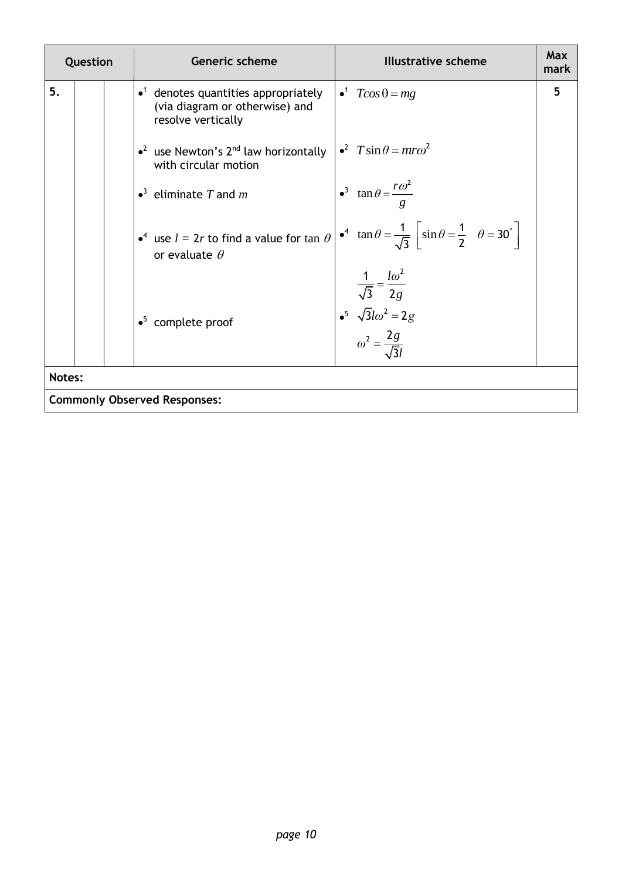| Question |  | <b>Generic scheme</b><br><b>Illustrative scheme</b>                                                                                                                                             | <b>Max</b><br>mark |
|----------|--|-------------------------------------------------------------------------------------------------------------------------------------------------------------------------------------------------|--------------------|
| 5.       |  | $\bullet^1$ $T\cos\theta = mg$<br>$\bullet$ <sup>1</sup> denotes quantities appropriately<br>(via diagram or otherwise) and<br>resolve vertically                                               | 5                  |
|          |  | $\epsilon^2$ $T \sin \theta = m r \omega^2$<br>• <sup>2</sup> use Newton's $2^{nd}$ law horizontally<br>with circular motion                                                                    |                    |
|          |  | • <sup>3</sup> $\tan \theta = \frac{r\omega^2}{g}$<br>$\bullet^3$ eliminate T and m                                                                                                             |                    |
|          |  | • $\tan \theta = \frac{1}{\sqrt{3}} \left[ \sin \theta = \frac{1}{2} \quad \theta = 30^{\circ} \right]$<br>• <sup>4</sup> use $l = 2r$ to find a value for tan $\theta$<br>or evaluate $\theta$ |                    |
|          |  | $rac{1}{\sqrt{3}} = \frac{l\omega^2}{2g}$<br>• <sup>5</sup> $\sqrt{3}l\omega^2 = 2g$<br>$\omega^2 = \frac{2g}{\sqrt{3}l}$<br>$\bullet^5$ complete proof                                         |                    |
| Notes:   |  |                                                                                                                                                                                                 |                    |
|          |  | <b>Commonly Observed Responses:</b>                                                                                                                                                             |                    |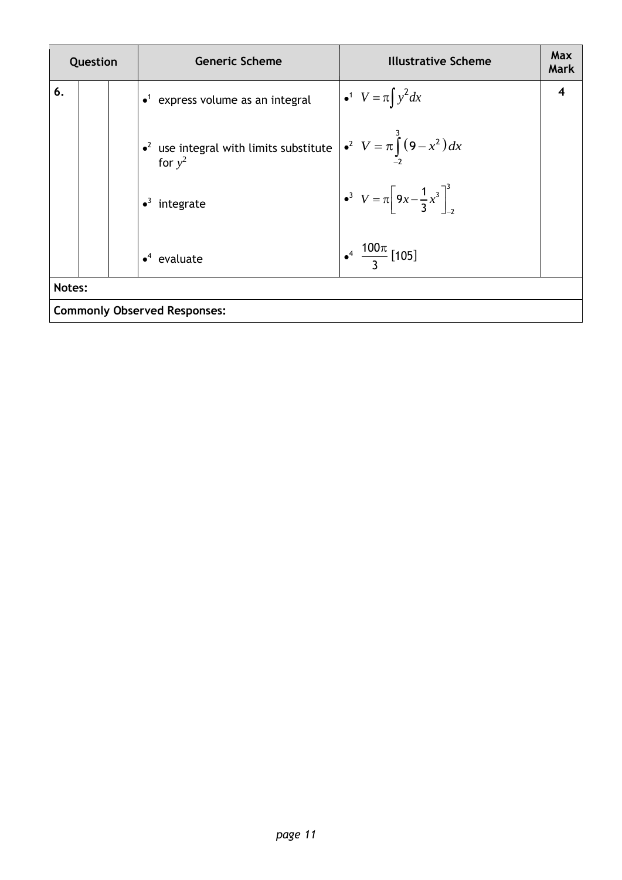| Question |                                     |  | <b>Generic Scheme</b>                                                                                    | <b>Illustrative Scheme</b>                                       | <b>Max</b><br>Mark |  |
|----------|-------------------------------------|--|----------------------------------------------------------------------------------------------------------|------------------------------------------------------------------|--------------------|--|
| 6.       |                                     |  | $\bullet$ <sup>1</sup> express volume as an integral                                                     | $\int$ $\bullet^1$ $V = \pi \int y^2 dx$                         |                    |  |
|          |                                     |  | • <sup>2</sup> use integral with limits substitute $\int e^2 V = \pi \int_0^3 (9 - x^2) dx$<br>for $y^2$ |                                                                  |                    |  |
|          |                                     |  | integrate                                                                                                | $\int \cdot^3 V = \pi \left[ 9x - \frac{1}{3}x^3 \right]_{-2}^3$ |                    |  |
|          |                                     |  | $\bullet^4$ evaluate                                                                                     | $\frac{100\pi}{3}$ [105]                                         |                    |  |
| Notes:   |                                     |  |                                                                                                          |                                                                  |                    |  |
|          | <b>Commonly Observed Responses:</b> |  |                                                                                                          |                                                                  |                    |  |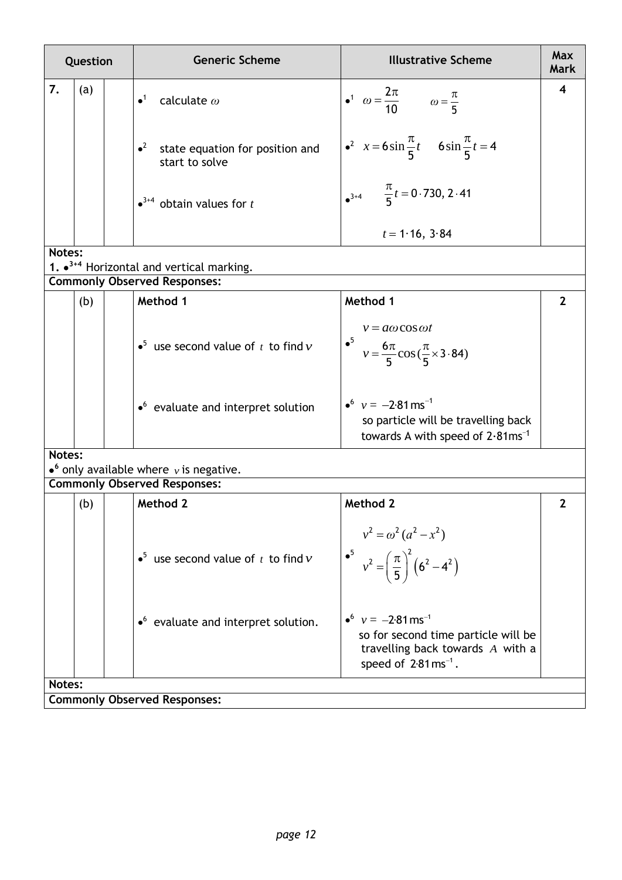| Question |     |  | <b>Generic Scheme</b>                                        | <b>Illustrative Scheme</b>                                                                                           | <b>Max</b><br><b>Mark</b> |
|----------|-----|--|--------------------------------------------------------------|----------------------------------------------------------------------------------------------------------------------|---------------------------|
| 7.       | (a) |  | $\bullet^1$<br>calculate $\omega$                            | • <sup>1</sup> $\omega = \frac{2\pi}{10}$ $\omega = \frac{\pi}{5}$                                                   | 4                         |
|          |     |  | $^2$<br>state equation for position and<br>start to solve    | • <sup>2</sup> $x = 6\sin{\frac{\pi}{5}}t$ 6sin $\frac{\pi}{5}t = 4$                                                 |                           |
|          |     |  | $\bullet$ <sup>3+4</sup> obtain values for <i>t</i>          | $\frac{\pi}{5}t = 0.730, 2.41$                                                                                       |                           |
|          |     |  |                                                              | $t = 1.16$ , 3.84                                                                                                    |                           |
| Notes:   |     |  |                                                              |                                                                                                                      |                           |
|          |     |  | 1. $\bullet$ <sup>3+4</sup> Horizontal and vertical marking. |                                                                                                                      |                           |
|          |     |  | <b>Commonly Observed Responses:</b>                          |                                                                                                                      |                           |
|          | (b) |  | Method 1                                                     | Method 1                                                                                                             | $\overline{2}$            |
|          |     |  | • <sup>5</sup> use second value of $t$ to find $v$           | $v = a\omega \cos \omega t$<br>• <sup>5</sup> $v = \frac{6\pi}{5} \cos(\frac{\pi}{5} \times 3.84)$                   |                           |
|          |     |  | $\bullet$ <sup>6</sup> evaluate and interpret solution       | $v = -2.81$ ms <sup>-1</sup><br>so particle will be travelling back<br>towards A with speed of $2.81 \text{ms}^{-1}$ |                           |
| Notes:   |     |  |                                                              |                                                                                                                      |                           |
|          |     |  | $\bullet$ <sup>6</sup> only available where v is negative.   |                                                                                                                      |                           |
|          |     |  | <b>Commonly Observed Responses:</b>                          |                                                                                                                      |                           |
|          | (b) |  | Method 2                                                     | Method 2                                                                                                             | $\mathbf{2}$              |
|          |     |  | • <sup>5</sup> use second value of $t$ to find $v$           | $v^2 = \omega^2 (a^2 - x^2)$<br>• <sup>5</sup> $v^2 = \left(\frac{\pi}{5}\right)^2 (6^2 - 4^2)$                      |                           |
|          |     |  | • <sup>6</sup> evaluate and interpret solution.              | • $v = -2.81$ ms <sup>-1</sup>                                                                                       |                           |

**Notes:**

**Commonly Observed Responses:**

 so for second time particle will be travelling back towards *A* with a

speed of  $2.81 \text{ ms}^{-1}$ .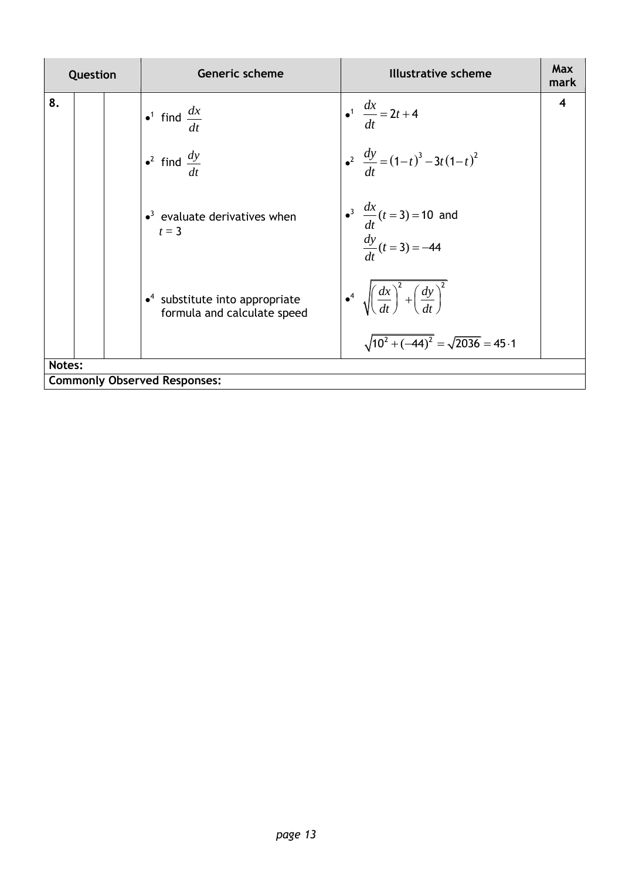| Question |  | <b>Generic scheme</b>                                                             | <b>Illustrative scheme</b>                                                                                                    | <b>Max</b><br>mark |
|----------|--|-----------------------------------------------------------------------------------|-------------------------------------------------------------------------------------------------------------------------------|--------------------|
| 8.       |  | • <sup>1</sup> find $\frac{dx}{dt}$                                               | $\int_0^1 \frac{dx}{dt} = 2t + 4$                                                                                             | 4                  |
|          |  | • <sup>2</sup> find $\frac{dy}{dt}$                                               | $\int_{0}^{2} \frac{dy}{dt} = (1-t)^{3} - 3t(1-t)^{2}$                                                                        |                    |
|          |  | $\bullet$ <sup>3</sup> evaluate derivatives when<br>$t=3$                         | • <sup>3</sup> $\frac{dx}{dt}$ ( <i>t</i> = 3) = 10 and<br>$\frac{dy}{dt}$ ( <i>t</i> = 3) = -44                              |                    |
|          |  | $\bullet$ <sup>4</sup> substitute into appropriate<br>formula and calculate speed | $\int_0^4 \sqrt{\left(\frac{dx}{dt}\right)^2 + \left(\frac{dy}{dt}\right)^2}$<br>$\sqrt{10^2 + (-44)^2} = \sqrt{2036} = 45.1$ |                    |
| Notes:   |  |                                                                                   |                                                                                                                               |                    |
|          |  | <b>Commonly Observed Responses:</b>                                               |                                                                                                                               |                    |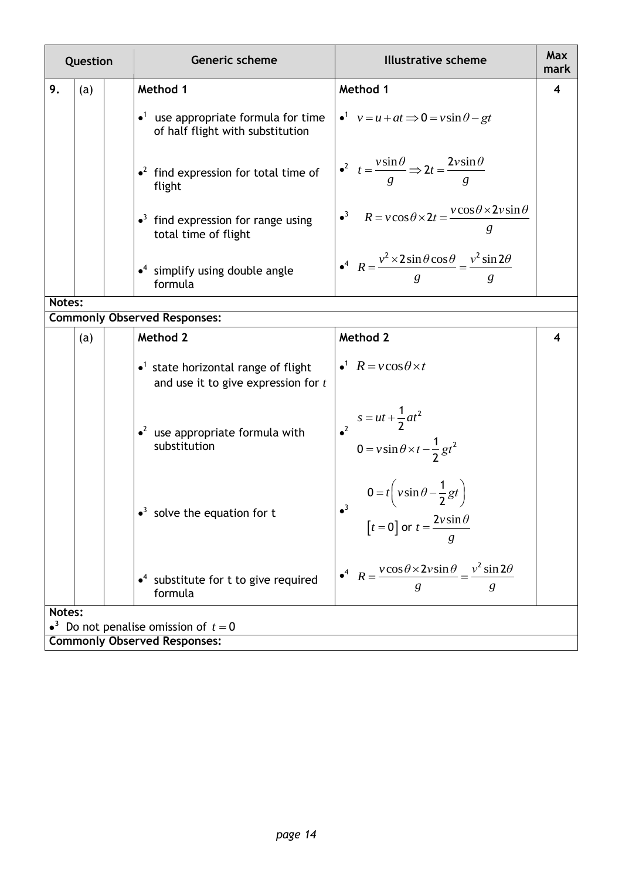| Question |     |  | <b>Generic scheme</b>                                                                            | <b>Illustrative scheme</b>                                                                                     | <b>Max</b><br>mark |
|----------|-----|--|--------------------------------------------------------------------------------------------------|----------------------------------------------------------------------------------------------------------------|--------------------|
| 9.       | (a) |  | Method 1                                                                                         | Method 1                                                                                                       | 4                  |
|          |     |  | $\bullet$ <sup>1</sup> use appropriate formula for time<br>of half flight with substitution      | $v = u + at \implies 0 = v \sin \theta - gt$                                                                   |                    |
|          |     |  | $\cdot^2$ find expression for total time of<br>flight                                            | $\int_0^2 t = \frac{v \sin \theta}{g}$ $\Rightarrow$ $2t = \frac{2v \sin \theta}{g}$                           |                    |
|          |     |  | $\bullet$ <sup>3</sup> find expression for range using<br>total time of flight                   | • <sup>3</sup> $R = v \cos \theta \times 2t = \frac{v \cos \theta \times 2v \sin \theta}{g}$                   |                    |
|          |     |  | $\cdot$ <sup>4</sup> simplify using double angle<br>formula                                      | $R = \frac{v^2 \times 2 \sin \theta \cos \theta}{g} = \frac{v^2 \sin 2\theta}{g}$                              |                    |
| Notes:   |     |  |                                                                                                  |                                                                                                                |                    |
|          |     |  | <b>Commonly Observed Responses:</b>                                                              |                                                                                                                |                    |
|          | (a) |  | Method 2                                                                                         | Method 2                                                                                                       | 4                  |
|          |     |  | $\bullet$ <sup>1</sup> state horizontal range of flight<br>and use it to give expression for $t$ | $\bullet^1$ $R = v \cos \theta \times t$                                                                       |                    |
|          |     |  | $\cdot^2$ use appropriate formula with<br>substitution                                           | $s = ut + \frac{1}{2}at^2$<br>$0 = v \sin \theta \times t - \frac{1}{2}gt^2$                                   |                    |
|          |     |  | $\bullet^3$ solve the equation for t                                                             | $0 = t \left(v \sin \theta - \frac{1}{2}gt\right)$<br>$\bullet^3$<br>$[t = 0]$ or $t = \frac{2v\sin\theta}{ }$ |                    |
|          |     |  | $\bullet$ <sup>4</sup> substitute for t to give required<br>formula                              | $\bullet^4$ $R = \frac{v \cos \theta \times 2v \sin \theta}{v^2 \sin 2\theta}$<br>g                            |                    |
| Notes:   |     |  |                                                                                                  |                                                                                                                |                    |
|          |     |  | • <sup>3</sup> Do not penalise omission of $t=0$                                                 |                                                                                                                |                    |
|          |     |  | <b>Commonly Observed Responses:</b>                                                              |                                                                                                                |                    |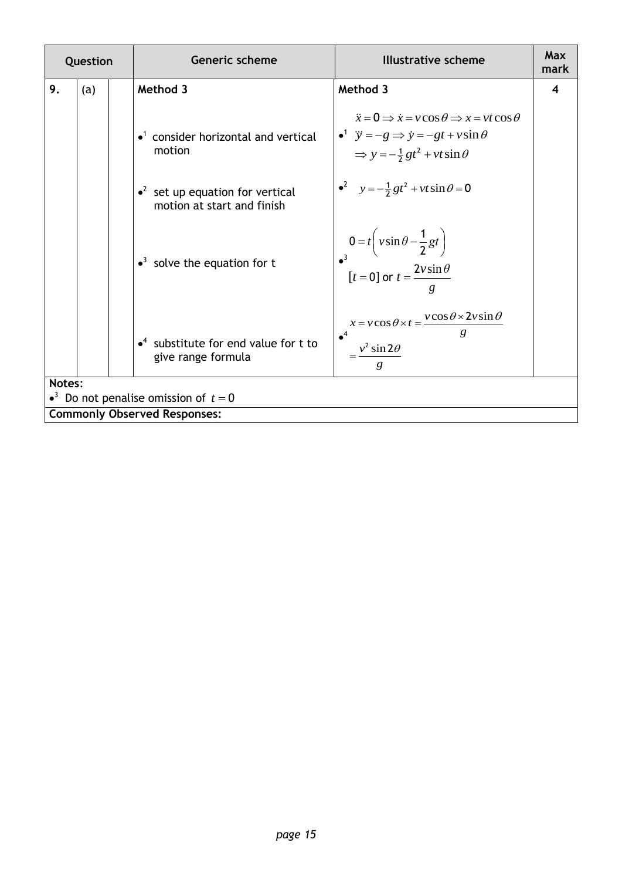| Question |                                                            |  | <b>Generic scheme</b>                                                          | <b>Illustrative scheme</b>                                                                                                                                                                                  | Max<br>mark |  |
|----------|------------------------------------------------------------|--|--------------------------------------------------------------------------------|-------------------------------------------------------------------------------------------------------------------------------------------------------------------------------------------------------------|-------------|--|
| 9.       | (a)                                                        |  | Method 3                                                                       | Method 3                                                                                                                                                                                                    | 4           |  |
|          |                                                            |  | $\bullet$ <sup>1</sup> consider horizontal and vertical<br>motion              | $\ddot{x} = 0 \implies \dot{x} = v \cos \theta \implies x = vt \cos \theta$<br>$\bullet^1$ $\ddot{y} = -g \Rightarrow \dot{y} = -gt + v \sin \theta$<br>$\Rightarrow y = -\frac{1}{2}gt^2 + vt \sin \theta$ |             |  |
|          |                                                            |  | $\cdot^2$ set up equation for vertical<br>motion at start and finish           | $v^2$ $y = -\frac{1}{2}gt^2 + vt \sin \theta = 0$                                                                                                                                                           |             |  |
|          |                                                            |  | $\cdot$ <sup>3</sup> solve the equation for t                                  | $0 = t \left(v \sin \theta - \frac{1}{2}gt\right)$<br>$[t = 0]$ or $t = \frac{2v \sin \theta}{ }$                                                                                                           |             |  |
|          |                                                            |  | $\bullet$ <sup>4</sup> substitute for end value for t to<br>give range formula | $x = v \cos \theta \times t = \frac{v \cos \theta \times 2v \sin \theta}{\varrho}$<br>$\bullet^4$<br>$=\frac{v^2 \sin 2\theta}{2}$                                                                          |             |  |
|          | Notes:<br>• <sup>3</sup> Do not penalise omission of $t=0$ |  |                                                                                |                                                                                                                                                                                                             |             |  |
|          |                                                            |  | <b>Commonly Observed Responses:</b>                                            |                                                                                                                                                                                                             |             |  |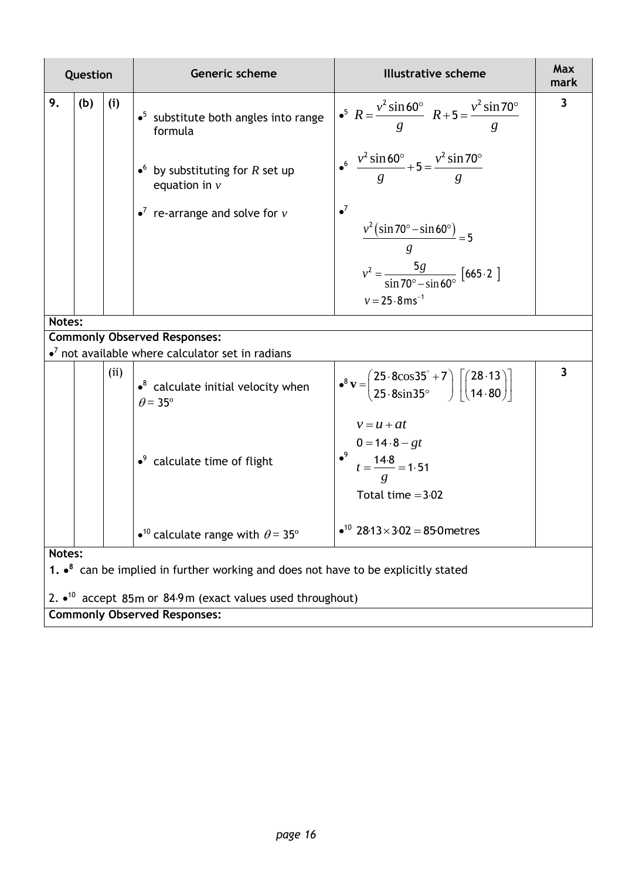|        | Question                                                                                            |     | <b>Generic scheme</b>                                                                                                                                       | <b>Illustrative scheme</b>                                                                                                                                                                                                                                                                 | Max<br>mark             |  |  |
|--------|-----------------------------------------------------------------------------------------------------|-----|-------------------------------------------------------------------------------------------------------------------------------------------------------------|--------------------------------------------------------------------------------------------------------------------------------------------------------------------------------------------------------------------------------------------------------------------------------------------|-------------------------|--|--|
| 9.     | (b)                                                                                                 | (i) | $\bullet^5$ substitute both angles into range<br>formula<br>• by substituting for R set up<br>equation in $\nu$<br>$\bullet^7$ re-arrange and solve for $v$ | • <sup>5</sup> $R = \frac{v^2 \sin 60^\circ}{g}$ $R + 5 = \frac{v^2 \sin 70^\circ}{g}$<br>$\frac{v^2 \sin 60^\circ}{g} + 5 = \frac{v^2 \sin 70^\circ}{g}$<br>$\bullet^7$<br>$\frac{v^2(\sin 70^\circ - \sin 60^\circ)}{g} = 5$<br>$v^2 = \frac{5g}{\sin 70^\circ - \sin 60^\circ}$ [665.2] | 3                       |  |  |
|        |                                                                                                     |     |                                                                                                                                                             | $v = 25.8$ ms <sup>-1</sup>                                                                                                                                                                                                                                                                |                         |  |  |
| Notes: |                                                                                                     |     |                                                                                                                                                             |                                                                                                                                                                                                                                                                                            |                         |  |  |
|        |                                                                                                     |     | <b>Commonly Observed Responses:</b><br>$\bullet^7$ not available where calculator set in radians                                                            |                                                                                                                                                                                                                                                                                            |                         |  |  |
|        |                                                                                                     | (i) | $\bullet^8$ calculate initial velocity when<br>$\theta$ = 35°                                                                                               | $\bullet^8 \mathbf{v} = \begin{pmatrix} 25.8 \cos 35^\circ + 7 \\ 25.8 \sin 35^\circ \end{pmatrix} \begin{pmatrix} 28.13 \\ 14.80 \end{pmatrix}$                                                                                                                                           | $\overline{\mathbf{3}}$ |  |  |
|        |                                                                                                     |     | $\cdot$ <sup>9</sup> calculate time of flight                                                                                                               | $v = u + at$<br>$0 = 14.8 - gt$<br>$t = \frac{14.8}{ } = 1.51$<br>Total time $=3.02$                                                                                                                                                                                                       |                         |  |  |
|        |                                                                                                     |     | • <sup>10</sup> calculate range with $\theta$ = 35 <sup>°</sup>                                                                                             | $\bullet^{10}$ 28.13 × 3.02 = 85.0 metres                                                                                                                                                                                                                                                  |                         |  |  |
|        | Notes:                                                                                              |     |                                                                                                                                                             |                                                                                                                                                                                                                                                                                            |                         |  |  |
|        | 1. $\cdot$ <sup>8</sup> can be implied in further working and does not have to be explicitly stated |     |                                                                                                                                                             |                                                                                                                                                                                                                                                                                            |                         |  |  |
|        | 2. $\bullet$ <sup>10</sup> accept 85m or 84.9m (exact values used throughout)                       |     |                                                                                                                                                             |                                                                                                                                                                                                                                                                                            |                         |  |  |
|        |                                                                                                     |     | <b>Commonly Observed Responses:</b>                                                                                                                         |                                                                                                                                                                                                                                                                                            |                         |  |  |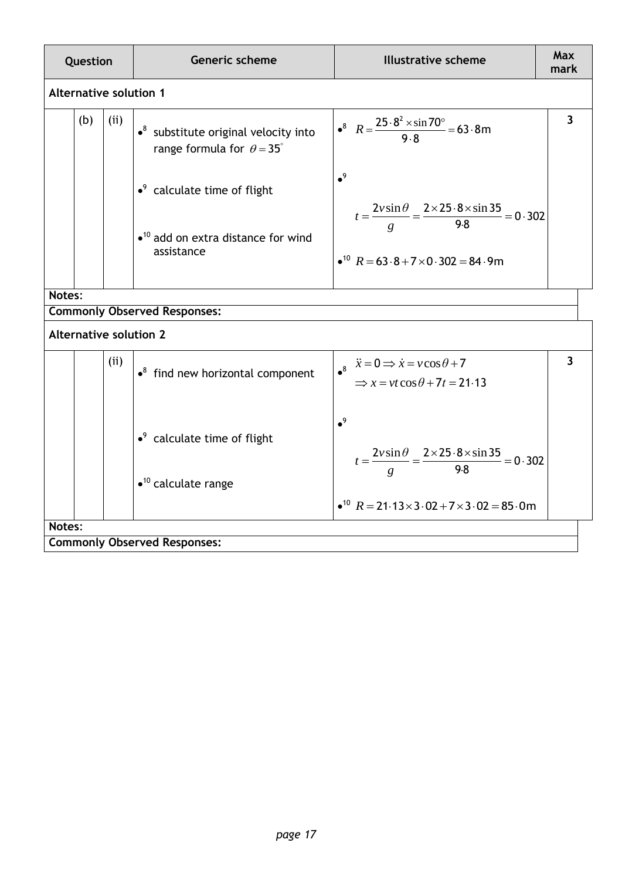| Question |                               |      | Generic scheme                                                                                  | <b>Illustrative scheme</b>                                                                                                           | <b>Max</b><br>mark      |  |
|----------|-------------------------------|------|-------------------------------------------------------------------------------------------------|--------------------------------------------------------------------------------------------------------------------------------------|-------------------------|--|
|          | <b>Alternative solution 1</b> |      |                                                                                                 |                                                                                                                                      |                         |  |
|          | (b)                           | (ii) | $\cdot$ <sup>8</sup> substitute original velocity into<br>range formula for $\theta = 35^\circ$ | $\bullet^8$ $R = \frac{25.8^2 \times \sin 70^{\circ}}{9.8} = 63.8 \text{m}$                                                          | $\overline{\mathbf{3}}$ |  |
|          |                               |      | $\cdot$ <sup>9</sup> calculate time of flight                                                   | $^9$                                                                                                                                 |                         |  |
|          |                               |      | $\bullet$ <sup>10</sup> add on extra distance for wind<br>assistance                            | $t = \frac{2v\sin\theta}{g} = \frac{2 \times 25.8 \times \sin 35}{9.8} = 0.302$<br>$\bullet^{10} R = 63.8 + 7 \times 0.302 = 84.9$ m |                         |  |
| Notes:   |                               |      |                                                                                                 |                                                                                                                                      |                         |  |
|          |                               |      | <b>Commonly Observed Responses:</b>                                                             |                                                                                                                                      |                         |  |
|          |                               |      | <b>Alternative solution 2</b>                                                                   |                                                                                                                                      |                         |  |
|          |                               | (ii) | $\cdot$ <sup>8</sup> find new horizontal component                                              | $\vec{x} = 0 \implies \dot{x} = v \cos \theta + 7$<br>$\Rightarrow$ x = vt cos $\theta$ + 7t = 21.13                                 | $\overline{\mathbf{3}}$ |  |
|          |                               |      | $\cdot$ <sup>9</sup> calculate time of flight<br>$\bullet$ <sup>10</sup> calculate range        | $\bullet^9$<br>$t = \frac{2v\sin\theta}{g} = \frac{2 \times 25.8 \times \sin 35}{9.8} = 0.302$                                       |                         |  |
|          |                               |      |                                                                                                 | $\bullet^{10} R = 21.13 \times 3.02 + 7 \times 3.02 = 85.0$ m                                                                        |                         |  |
| Notes:   |                               |      |                                                                                                 |                                                                                                                                      |                         |  |
|          |                               |      | <b>Commonly Observed Responses:</b>                                                             |                                                                                                                                      |                         |  |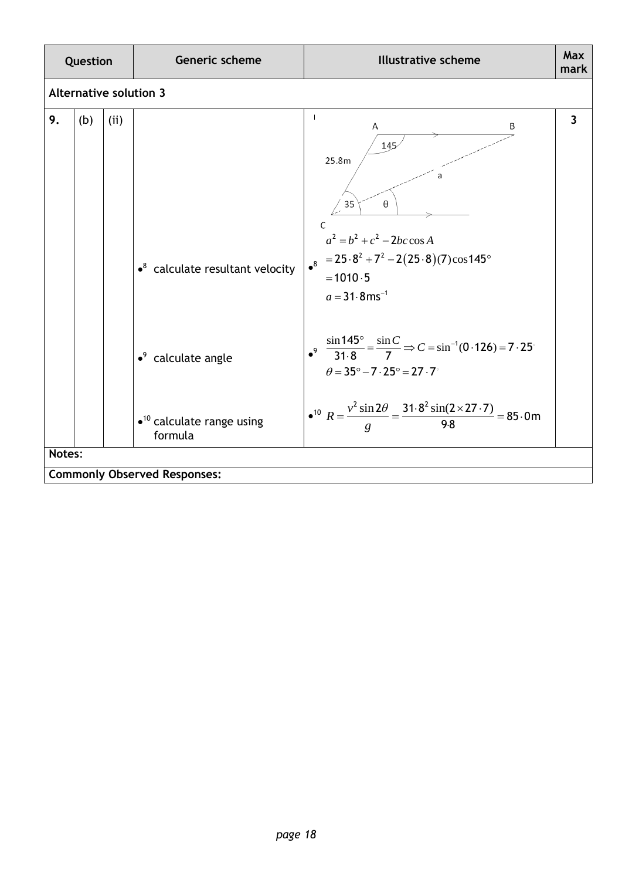| Question |     |      | Generic scheme                                           | <b>Illustrative scheme</b>                                                                                                                                                   | <b>Max</b><br>mark      |
|----------|-----|------|----------------------------------------------------------|------------------------------------------------------------------------------------------------------------------------------------------------------------------------------|-------------------------|
|          |     |      | <b>Alternative solution 3</b>                            |                                                                                                                                                                              |                         |
| 9.       | (b) | (ii) | $\bullet^8$ calculate resultant velocity                 | Α<br>В<br>145<br>25.8m<br>35<br>θ<br>C<br>$a^2 = b^2 + c^2 - 2bc \cos A$<br>$= 25.8^2 + 7^2 - 2(25.8)(7)\cos 145^\circ$<br>$^8$<br>$= 1010.5$<br>$a = 31.8$ ms <sup>-1</sup> | $\overline{\mathbf{3}}$ |
|          |     |      | $\cdot$ <sup>9</sup> calculate angle                     | $\int_0^9 \frac{\sin 145^\circ}{31.8} = \frac{\sin C}{7} \Rightarrow C = \sin^{-1}(0.126) = 7.25^\circ$<br>$\theta = 35^{\circ} - 7 \cdot 25^{\circ} = 27 \cdot 7^{\circ}$   |                         |
|          |     |      | $\bullet$ <sup>10</sup> calculate range using<br>formula | • <sup>10</sup> $R = \frac{v^2 \sin 2\theta}{g} = \frac{31.8^2 \sin(2 \times 27.7)}{9.8} = 85.0$ m                                                                           |                         |
| Notes:   |     |      | <b>Commonly Observed Responses:</b>                      |                                                                                                                                                                              |                         |
|          |     |      |                                                          |                                                                                                                                                                              |                         |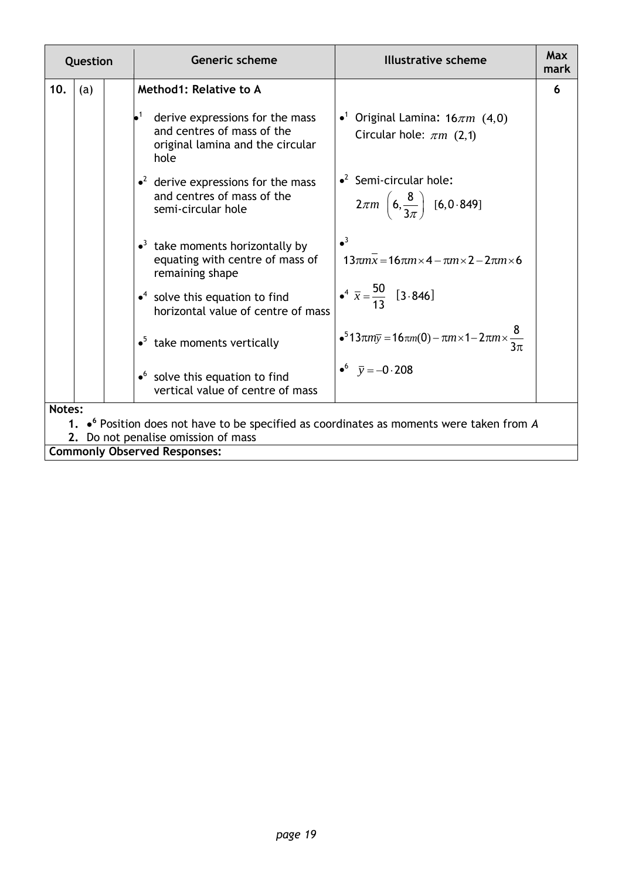| Question |        |  | <b>Generic scheme</b>                                                                                                    | <b>Illustrative scheme</b>                                                                                   | Max<br>mark |  |  |
|----------|--------|--|--------------------------------------------------------------------------------------------------------------------------|--------------------------------------------------------------------------------------------------------------|-------------|--|--|
| 10.      | (a)    |  | Method1: Relative to A                                                                                                   |                                                                                                              | 6           |  |  |
|          |        |  | $\bullet^1$<br>derive expressions for the mass<br>and centres of mass of the<br>original lamina and the circular<br>hole | • <sup>1</sup> Original Lamina: $16\pi m$ (4,0)<br>Circular hole: $\pi m$ (2,1)                              |             |  |  |
|          |        |  | $\cdot^2$ derive expressions for the mass<br>and centres of mass of the<br>semi-circular hole                            | $\cdot^2$ Semi-circular hole:<br>$2\pi m \left(6, \frac{8}{3\pi}\right)$ [6,0.849]                           |             |  |  |
|          |        |  | $\bullet$ <sup>3</sup> take moments horizontally by<br>equating with centre of mass of<br>remaining shape                | $\bullet^3$<br>$13\pi m\overline{x} = 16\pi m \times 4 - \pi m \times 2 - 2\pi m \times 6$                   |             |  |  |
|          |        |  | $\bullet$ <sup>4</sup> solve this equation to find<br>horizontal value of centre of mass                                 | $\frac{1}{2}$ $\bullet^4$ $\bar{x} = \frac{50}{13}$ [3.846]                                                  |             |  |  |
|          |        |  | $\bullet^5$ take moments vertically                                                                                      | • <sup>5</sup> 13πm <sub>y</sub> = 16πm(0) – πm × 1 – 2πm × $\frac{8}{3\pi}$                                 |             |  |  |
|          |        |  | $\bullet$ solve this equation to find<br>vertical value of centre of mass                                                | $\bullet^6$ $\bar{y} = -0.208$                                                                               |             |  |  |
|          | Notes: |  |                                                                                                                          |                                                                                                              |             |  |  |
|          |        |  | 2. Do not penalise omission of mass                                                                                      | 1. $\bullet$ <sup>6</sup> Position does not have to be specified as coordinates as moments were taken from A |             |  |  |
|          |        |  | <b>Commonly Observed Responses:</b>                                                                                      |                                                                                                              |             |  |  |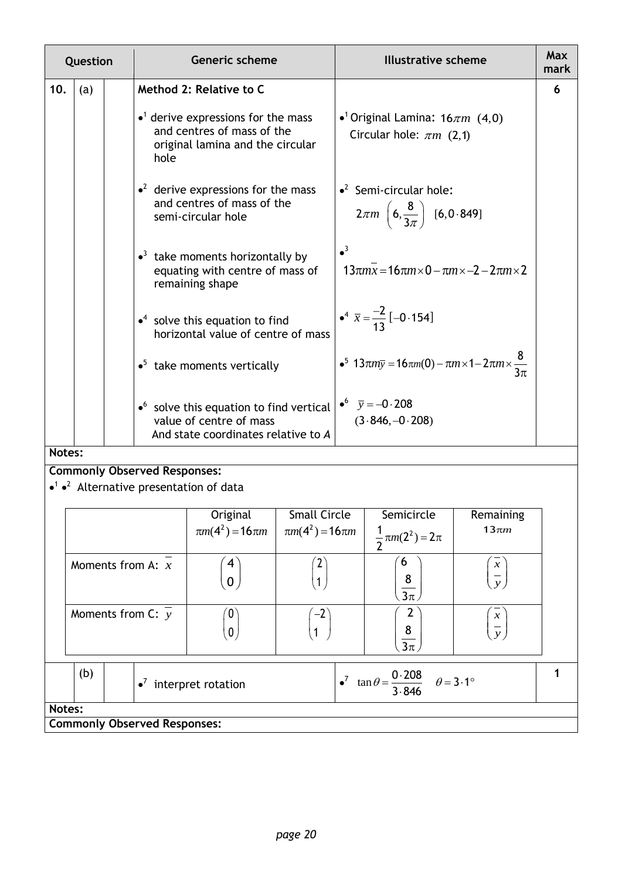| Question |     |  | <b>Generic scheme</b>                                                                                                            | <b>Illustrative scheme</b>                                                                  | Max<br>mark |
|----------|-----|--|----------------------------------------------------------------------------------------------------------------------------------|---------------------------------------------------------------------------------------------|-------------|
| 10.      | (a) |  | Method 2: Relative to C                                                                                                          |                                                                                             | 6           |
|          |     |  | $\bullet$ <sup>1</sup> derive expressions for the mass<br>and centres of mass of the<br>original lamina and the circular<br>hole | • <sup>1</sup> Original Lamina: $16\pi m$ (4,0)<br>Circular hole: $\pi m$ (2,1)             |             |
|          |     |  | $\cdot^2$ derive expressions for the mass<br>and centres of mass of the<br>semi-circular hole                                    | $\cdot^2$ Semi-circular hole:<br>$2\pi m \left(6, \frac{8}{3\pi}\right)$ [6,0.849]          |             |
|          |     |  | $\bullet$ <sup>3</sup> take moments horizontally by<br>equating with centre of mass of<br>remaining shape                        | $\bullet^3$<br>$13\pi m\overline{x} = 16\pi m \times 0 - \pi m \times -2 - 2\pi m \times 2$ |             |
|          |     |  | $\bullet$ <sup>4</sup> solve this equation to find<br>horizontal value of centre of mass                                         | $\bullet^4 \overline{x} = \frac{-2}{13} [-0.154]$                                           |             |
|          |     |  | $\bullet^5$ take moments vertically                                                                                              | • <sup>5</sup> 13πm <sub>y</sub> = 16πm(0) – πm × 1 – 2πm × $\frac{8}{3\pi}$                |             |
|          |     |  | $\bullet$ solve this equation to find vertical<br>value of centre of mass<br>And state coordinates relative to A                 | • $\bar{y} = -0.208$<br>$(3.846,-0.208)$                                                    |             |

#### **Notes:**

### **Commonly Observed Responses:**

### $\bullet$ <sup>1</sup>  $\bullet$ <sup>2</sup> Alternative presentation of data

|        |                                       |                                     | Original<br>$\pi m(4^2) = 16 \pi m$ $\pi m(4^2) = 16 \pi m$ | <b>Small Circle</b>                                               | Semicircle<br>$rac{1}{2}\pi m(2^2) = 2\pi$ | Remaining<br>$13\pi m$         |  |
|--------|---------------------------------------|-------------------------------------|-------------------------------------------------------------|-------------------------------------------------------------------|--------------------------------------------|--------------------------------|--|
|        | Moments from A: $x$                   |                                     | 4<br>0                                                      |                                                                   | b<br>$\frac{8}{3\pi}$                      | $\mathcal{X}$<br>$\mathcal{Y}$ |  |
|        | Moments from C: $y$                   |                                     | 0<br>0                                                      | $-2$                                                              | $\frac{8}{3\pi}$                           | $\mathcal{X}$<br>$\mathcal{V}$ |  |
|        | (b)<br>$\bullet^7$ interpret rotation |                                     |                                                             | $\int_0^7 \tan \theta = \frac{0.208}{3.846}$ $\theta = 3.1^\circ$ |                                            |                                |  |
| Notes: |                                       |                                     |                                                             |                                                                   |                                            |                                |  |
|        |                                       | <b>Commonly Observed Responses:</b> |                                                             |                                                                   |                                            |                                |  |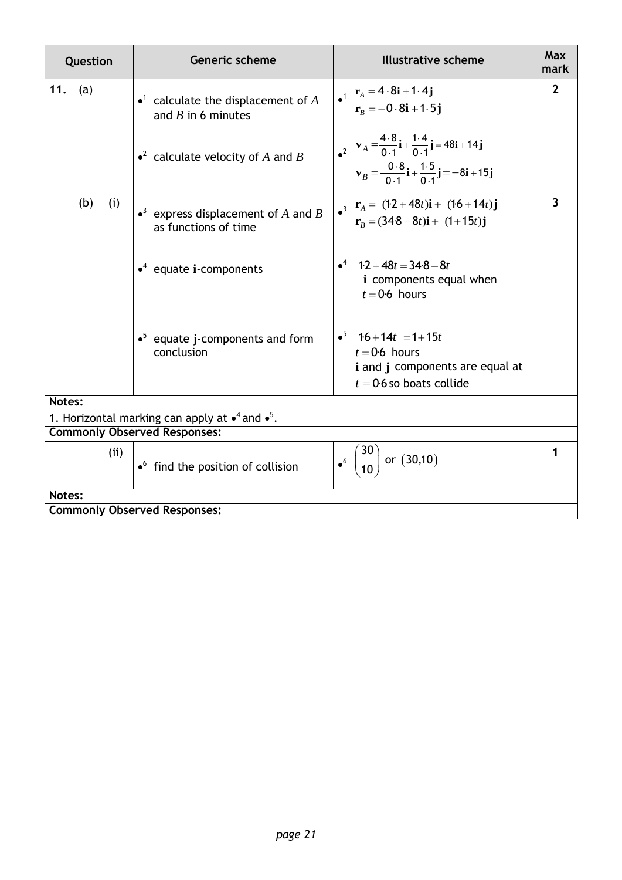| Question |     |      | <b>Generic scheme</b>                                                                                   | <b>Illustrative scheme</b>                                                                                                                                                                                                                | Max<br>mark    |
|----------|-----|------|---------------------------------------------------------------------------------------------------------|-------------------------------------------------------------------------------------------------------------------------------------------------------------------------------------------------------------------------------------------|----------------|
| 11.      | (a) |      | • <sup>1</sup> calculate the displacement of A<br>and $B$ in 6 minutes                                  | $\begin{array}{cc}\n \bullet^1 & \mathbf{r}_A = 4 \cdot 8\mathbf{i} + 1 \cdot 4\mathbf{j} \\  \mathbf{r}_B = -0 \cdot 8\mathbf{i} + 1 \cdot 5\mathbf{j}\n \end{array}$                                                                    | $\overline{2}$ |
|          |     |      | • <sup>2</sup> calculate velocity of A and B                                                            | $\mathbf{v}_A = \frac{4 \cdot 8}{0 \cdot 1} \mathbf{i} + \frac{1 \cdot 4}{0 \cdot 1} \mathbf{j} = 48 \mathbf{i} + 14 \mathbf{j}$<br>$\mathbf{v}_B = \frac{-0.8}{0.1}\mathbf{i} + \frac{1.5}{0.1}\mathbf{j} = -8\mathbf{i} + 15\mathbf{j}$ |                |
|          | (b) | (i)  | • <sup>3</sup> express displacement of A and B<br>as functions of time                                  | $\mathbf{r}_A = (12 + 48t)\mathbf{i} + (16 + 14t)\mathbf{j}$<br>$\mathbf{r}_B = (34.8 - 8t)\mathbf{i} + (1+15t)\mathbf{j}$                                                                                                                | $\overline{3}$ |
|          |     |      | $\cdot^4$ equate i-components                                                                           | $\bullet^4$ 12 + 48t = 348 – 8t<br><i>i</i> components equal when<br>$t = 0.6$ hours                                                                                                                                                      |                |
|          |     |      | $\bullet^5$ equate j-components and form<br>conclusion                                                  | $\bullet^5$ 16 + 14t = 1 + 15t<br>$t = 0.6$ hours<br>i and j components are equal at<br>$t = 0.6$ so boats collide                                                                                                                        |                |
| Notes:   |     |      |                                                                                                         |                                                                                                                                                                                                                                           |                |
|          |     |      | 1. Horizontal marking can apply at $\bullet^4$ and $\bullet^5$ .<br><b>Commonly Observed Responses:</b> |                                                                                                                                                                                                                                           |                |
|          |     |      |                                                                                                         |                                                                                                                                                                                                                                           |                |
|          |     | (ii) | $\bullet$ find the position of collision                                                                | $\bullet^6$ $\binom{30}{10}$ or (30,10)                                                                                                                                                                                                   | 1              |
| Notes:   |     |      |                                                                                                         |                                                                                                                                                                                                                                           |                |
|          |     |      | <b>Commonly Observed Responses:</b>                                                                     |                                                                                                                                                                                                                                           |                |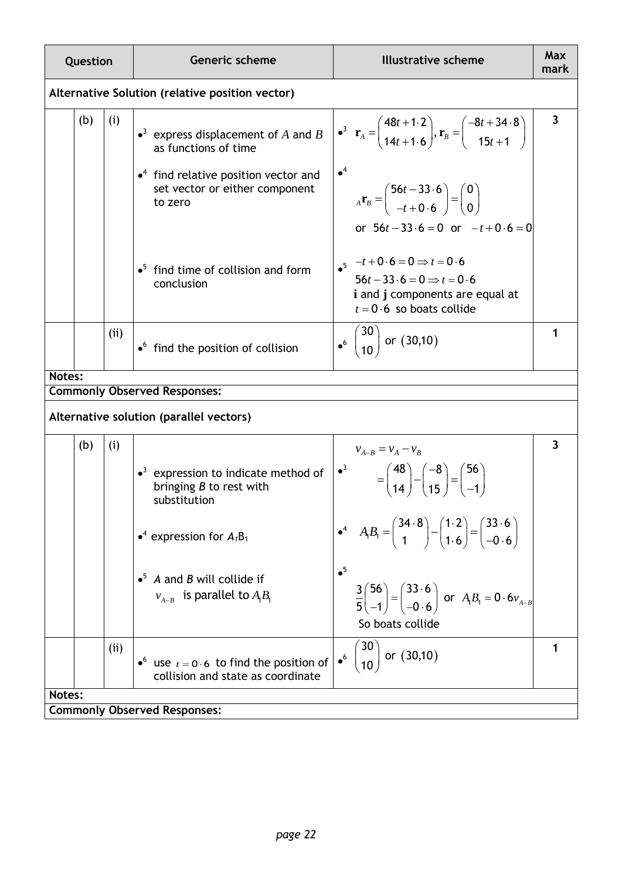| Question |     | Generic scheme                                                                                                                                                                                                             | <b>Illustrative scheme</b>                                                                                                                                                                                                                                                                                                                                                                                                                                        | Max<br>mark  |
|----------|-----|----------------------------------------------------------------------------------------------------------------------------------------------------------------------------------------------------------------------------|-------------------------------------------------------------------------------------------------------------------------------------------------------------------------------------------------------------------------------------------------------------------------------------------------------------------------------------------------------------------------------------------------------------------------------------------------------------------|--------------|
|          |     | Alternative Solution (relative position vector)                                                                                                                                                                            |                                                                                                                                                                                                                                                                                                                                                                                                                                                                   |              |
| (b)      | (i) | • <sup>3</sup> express displacement of A and B<br>as functions of time<br>$\bullet$ <sup>4</sup> find relative position vector and<br>set vector or either component<br>to zero                                            | $\mathbf{r}_A = \begin{pmatrix} 48t + 1.2 \\ 14t + 1.6 \end{pmatrix}, \mathbf{r}_B = \begin{pmatrix} -8t + 34.8 \\ 15t + 1 \end{pmatrix}$<br>$\bullet^4$<br>$_{A}\mathbf{r}_{B} = \begin{pmatrix} 56t - 33.6 \\ -t + 0.6 \end{pmatrix} = \begin{pmatrix} 0 \\ 0 \end{pmatrix}$<br>or $56t - 33.6 = 0$ or $-t+0.6 = 0$                                                                                                                                             | $\mathbf{3}$ |
|          |     | $\bullet^5$ find time of collision and form<br>conclusion                                                                                                                                                                  | $-t+0.6=0 \Rightarrow t=0.6$<br>$56t - 33 \cdot 6 = 0 \implies t = 0.6$<br><i>i</i> and <i>j</i> components are equal at<br>$t = 0.6$ so boats collide                                                                                                                                                                                                                                                                                                            |              |
|          | (i) | $\bullet$ find the position of collision                                                                                                                                                                                   | $\bullet^6$ $\binom{30}{10}$ or $(30,10)$                                                                                                                                                                                                                                                                                                                                                                                                                         | 1            |
| Notes:   |     |                                                                                                                                                                                                                            |                                                                                                                                                                                                                                                                                                                                                                                                                                                                   |              |
|          |     | <b>Commonly Observed Responses:</b>                                                                                                                                                                                        |                                                                                                                                                                                                                                                                                                                                                                                                                                                                   |              |
|          |     | Alternative solution (parallel vectors)                                                                                                                                                                                    |                                                                                                                                                                                                                                                                                                                                                                                                                                                                   |              |
| (b)      | (i) | $\bullet$ <sup>3</sup> expression to indicate method of<br>bringing $B$ to rest with<br>substitution<br>• <sup>4</sup> expression for $A_1B_1$<br>$\bullet^5$ A and B will collide if<br>$v_{A-B}$ is parallel to $A_1B_1$ | $v_{A-B} = v_A - v_B$<br>$\begin{pmatrix} -3 \\ 14 \end{pmatrix} - \begin{pmatrix} -8 \\ 15 \end{pmatrix} = \begin{pmatrix} 56 \\ -1 \end{pmatrix}$<br>$A_1B_1 = \begin{pmatrix} 34.8 \\ 1 \end{pmatrix} - \begin{pmatrix} 1.2 \\ 1.6 \end{pmatrix} = \begin{pmatrix} 33.6 \\ -0.6 \end{pmatrix}$<br>$\bullet^5$<br>$\frac{3}{5}\begin{pmatrix} 56 \\ -1 \end{pmatrix} = \begin{pmatrix} 33.6 \\ -0.6 \end{pmatrix}$ or $A_1B_1 = 0.6v_{A-B}$<br>So boats collide | 3            |
|          | (i) | • use $t = 0.6$ to find the position of<br>collision and state as coordinate                                                                                                                                               | 30<br>$_{10}$ or $(30,10)$<br>$\bullet^6$                                                                                                                                                                                                                                                                                                                                                                                                                         |              |
| Notes:   |     |                                                                                                                                                                                                                            |                                                                                                                                                                                                                                                                                                                                                                                                                                                                   |              |
|          |     | <b>Commonly Observed Responses:</b>                                                                                                                                                                                        |                                                                                                                                                                                                                                                                                                                                                                                                                                                                   |              |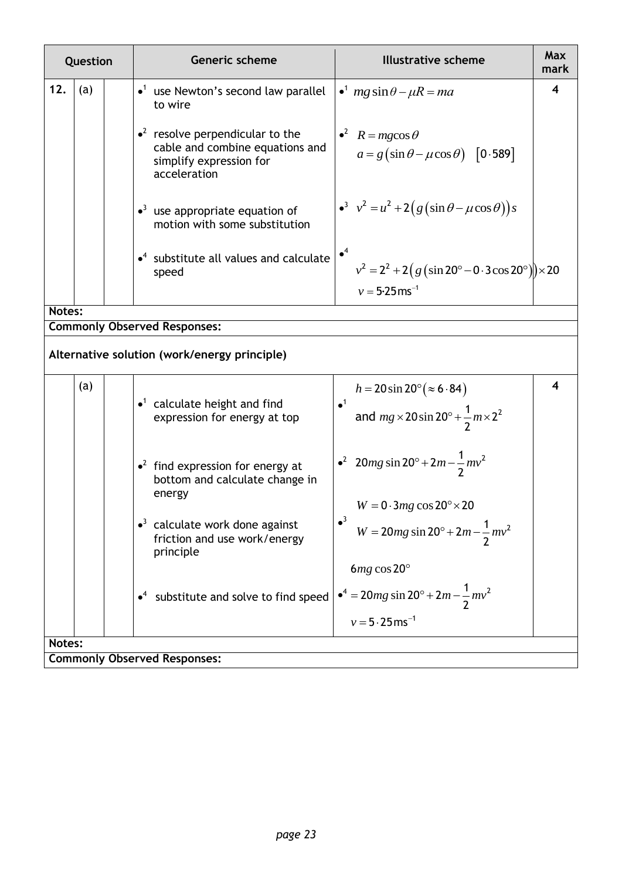| Question |     |  | <b>Generic scheme</b><br><b>Illustrative scheme</b>                                                                                                                                                                  | Max<br>mark |
|----------|-----|--|----------------------------------------------------------------------------------------------------------------------------------------------------------------------------------------------------------------------|-------------|
| 12.      | (a) |  | $\bullet$ <sup>1</sup> use Newton's second law parallel<br>$\bullet^1$ mg sin $\theta - \mu R = ma$<br>to wire                                                                                                       | 4           |
|          |     |  | $\cdot^2$ resolve perpendicular to the<br>$\bullet^2$ $R = mg\cos\theta$<br>cable and combine equations and<br>$a = g(\sin\theta - \mu\cos\theta)$ [0.589]<br>simplify expression for<br>acceleration                |             |
|          |     |  | $v^3$ $v^2 = u^2 + 2(g(\sin \theta - \mu \cos \theta))s$<br>$\bullet$ <sup>3</sup> use appropriate equation of<br>motion with some substitution                                                                      |             |
|          |     |  | $\bullet^4$<br>$\bullet^4$ substitute all values and calculate<br>$v^2 = 2^2 + 2(g(\sin 20^\circ - 0.3\cos 20^\circ)) \times 20$<br>speed<br>$v = 5.25$ ms <sup>-1</sup>                                             |             |
| Notes:   |     |  |                                                                                                                                                                                                                      |             |
|          |     |  | <b>Commonly Observed Responses:</b>                                                                                                                                                                                  |             |
|          |     |  | Alternative solution (work/energy principle)                                                                                                                                                                         |             |
|          | (a) |  | $h = 20 \sin 20^{\circ} (\approx 6.84)$<br>$\bullet$ <sup>1</sup> calculate height and find<br>$\bullet$ <sup>1</sup><br>and $mg \times 20 \sin 20^\circ + \frac{1}{2} m \times 2^2$<br>expression for energy at top | 4           |
|          |     |  | • <sup>2</sup> 20 <i>mg</i> sin 20° + 2 <i>m</i> - $\frac{1}{2}mv^2$<br>$\cdot^2$ find expression for energy at<br>bottom and calculate change in<br>energy                                                          |             |
|          |     |  | $W = 0.3mg \cos 20^\circ \times 20$<br>$\bullet$ <sup>3</sup> calculate work done against<br>$W = 20mg \sin 20^\circ + 2m - \frac{1}{2}mv^2$<br>friction and use work/energy<br>principle                            |             |
|          |     |  | $6mg \cos 20^\circ$<br>$\bullet^4 = 20mg \sin 20^\circ + 2m - \frac{1}{2}mv^2$<br>$\bullet$ <sup>4</sup> substitute and solve to find speed<br>$v = 5.25$ ms <sup>-1</sup>                                           |             |
| Notes:   |     |  |                                                                                                                                                                                                                      |             |
|          |     |  | <b>Commonly Observed Responses:</b>                                                                                                                                                                                  |             |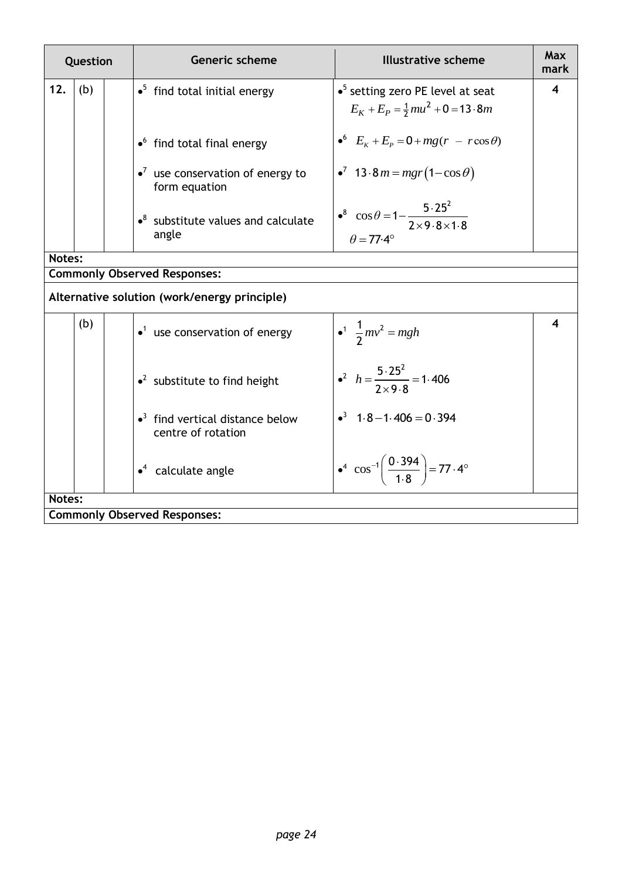| Question |     | Generic scheme                                                            | <b>Illustrative scheme</b>                                                                                           | Max<br>mark |
|----------|-----|---------------------------------------------------------------------------|----------------------------------------------------------------------------------------------------------------------|-------------|
| 12.      | (b) | $\bullet^5$ find total initial energy                                     | $\bullet^5$ setting zero PE level at seat<br>$E_K + E_P = \frac{1}{2}mu^2 + 0 = 13.8m$                               | 4           |
|          |     | $\bullet$ find total final energy                                         | • $E_{K} + E_{P} = 0 + mg(r - r \cos \theta)$                                                                        |             |
|          |     | $\cdot^7$ use conservation of energy to<br>form equation                  | • <sup>7</sup> 13 · 8 <i>m</i> = <i>mgr</i> (1–cos $\theta$ )                                                        |             |
|          |     | $\bullet^8$ substitute values and calculate<br>angle                      | • <sup>8</sup> $\cos \theta = 1 - \frac{5 \cdot 25^2}{2 \times 9 \cdot 8 \times 1 \cdot 8}$<br>$\theta = 77.4^\circ$ |             |
| Notes:   |     |                                                                           |                                                                                                                      |             |
|          |     | <b>Commonly Observed Responses:</b>                                       |                                                                                                                      |             |
|          |     | Alternative solution (work/energy principle)                              |                                                                                                                      |             |
|          | (b) | $\bullet$ <sup>1</sup> use conservation of energy                         | • <sup>1</sup> $\frac{1}{2}mv^2 = mgh$                                                                               | 4           |
|          |     | $\cdot^2$ substitute to find height                                       | • <sup>2</sup> $h = \frac{5.25^2}{2 \times 9.8} = 1.406$                                                             |             |
|          |     | $\bullet$ <sup>3</sup> find vertical distance below<br>centre of rotation | $\cdot^3$ 1.8 - 1.406 = 0.394                                                                                        |             |
|          |     | $\cdot^4$ calculate angle                                                 | $\bullet^4$ cos <sup>-1</sup> $\left(\frac{0.394}{1.8}\right)$ = 77.4°                                               |             |
| Notes:   |     |                                                                           |                                                                                                                      |             |
|          |     | <b>Commonly Observed Responses:</b>                                       |                                                                                                                      |             |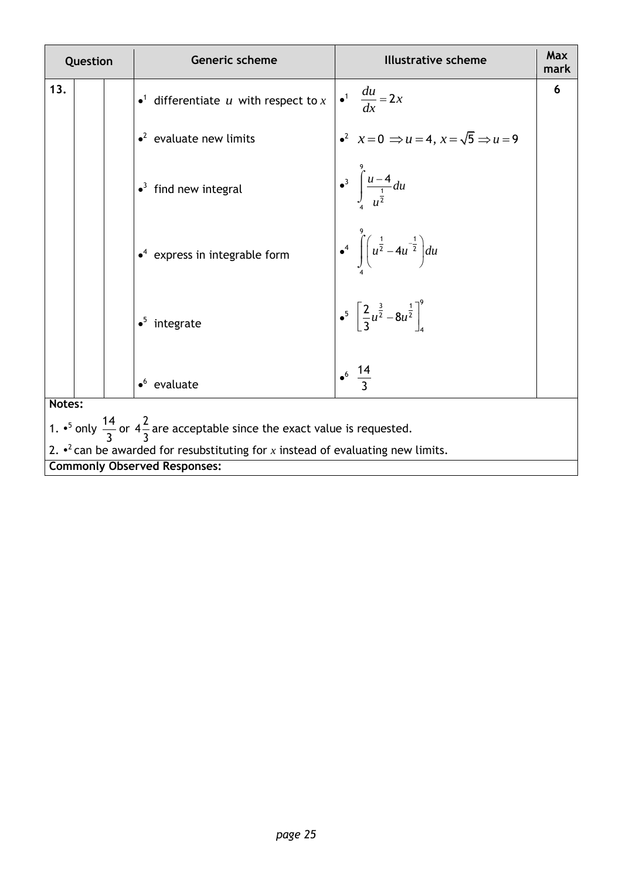| Question |                                                                                               |  | Max<br><b>Generic scheme</b><br><b>Illustrative scheme</b><br>mark                                   |  |  |  |  |
|----------|-----------------------------------------------------------------------------------------------|--|------------------------------------------------------------------------------------------------------|--|--|--|--|
| 13.      |                                                                                               |  | 6<br>$\int_0^1 \frac{du}{dx} = 2x$<br>• <sup>1</sup> differentiate $u$ with respect to $x$           |  |  |  |  |
|          |                                                                                               |  | $x^2$ $x=0 \Rightarrow u=4$ , $x=\sqrt{5} \Rightarrow u=9$<br>$\cdot^2$ evaluate new limits          |  |  |  |  |
|          |                                                                                               |  | $\int_{0}^{3} \int_{\frac{u}{u^{2}}}^{u-4} du$<br>$\bullet$ <sup>3</sup> find new integral           |  |  |  |  |
|          |                                                                                               |  | $\int_0^4 \int_0^1 (u^{\frac{1}{2}} - 4u^{-\frac{1}{2}}) du$<br>$\cdot^4$ express in integrable form |  |  |  |  |
|          |                                                                                               |  | $\bullet^5$ $\left[\frac{2}{3}u^{\frac{3}{2}}-8u^{\frac{1}{2}}\right]_4^9$<br>$\bullet^5$ integrate  |  |  |  |  |
|          |                                                                                               |  | $\bullet^6 \frac{14}{2}$<br>$\bullet^6$ evaluate                                                     |  |  |  |  |
|          | Notes:                                                                                        |  |                                                                                                      |  |  |  |  |
|          | 1. • only $\frac{14}{3}$ or $4\frac{2}{3}$ are acceptable since the exact value is requested. |  |                                                                                                      |  |  |  |  |
|          |                                                                                               |  | 2. $\cdot^2$ can be awarded for resubstituting for x instead of evaluating new limits.               |  |  |  |  |
|          |                                                                                               |  | <b>Commonly Observed Responses:</b>                                                                  |  |  |  |  |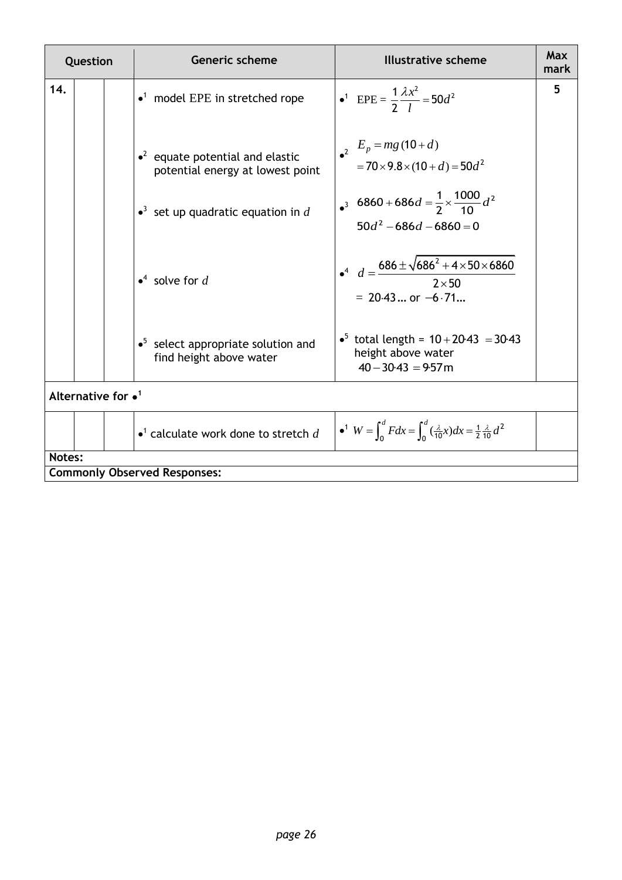| Question |                             |  | <b>Generic scheme</b>                                                      | Illustrative scheme                                                                                      | <b>Max</b><br>mark |
|----------|-----------------------------|--|----------------------------------------------------------------------------|----------------------------------------------------------------------------------------------------------|--------------------|
| 14.      |                             |  | $\bullet$ <sup>1</sup> model EPE in stretched rope                         | • <sup>1</sup> EPE = $\frac{1}{2} \frac{\lambda x^2}{l} = 50d^2$                                         | 5                  |
|          |                             |  | $\cdot^2$ equate potential and elastic<br>potential energy at lowest point | $E_p = mg(10+d)$<br>$=70\times9.8\times(10+d)=50d^2$                                                     |                    |
|          |                             |  | • <sup>3</sup> set up quadratic equation in d                              | $\cdot$ 6860+686d = $\frac{1}{2} \times \frac{1000}{10} d^2$<br>$50d^2 - 686d - 6860 = 0$                |                    |
|          |                             |  | $\bullet^4$ solve for d                                                    | $d = \frac{686 \pm \sqrt{686^2 + 4 \times 50 \times 6860}}{2 \times 50}$<br>$= 20.43$ or $-6.71$         |                    |
|          |                             |  | $\bullet^5$ select appropriate solution and<br>find height above water     | • <sup>5</sup> total length = $10+20.43 = 30.43$<br>height above water<br>$40 - 30.43 = 9.57$ m          |                    |
|          | Alternative for $\bullet^1$ |  |                                                                            |                                                                                                          |                    |
|          |                             |  | $\bullet$ <sup>1</sup> calculate work done to stretch d                    | $\bullet^1$ $W = \int_0^d F dx = \int_0^d (\frac{\lambda}{10}x) dx = \frac{1}{2} \frac{\lambda}{10} d^2$ |                    |
| Notes:   |                             |  |                                                                            |                                                                                                          |                    |
|          |                             |  | <b>Commonly Observed Responses:</b>                                        |                                                                                                          |                    |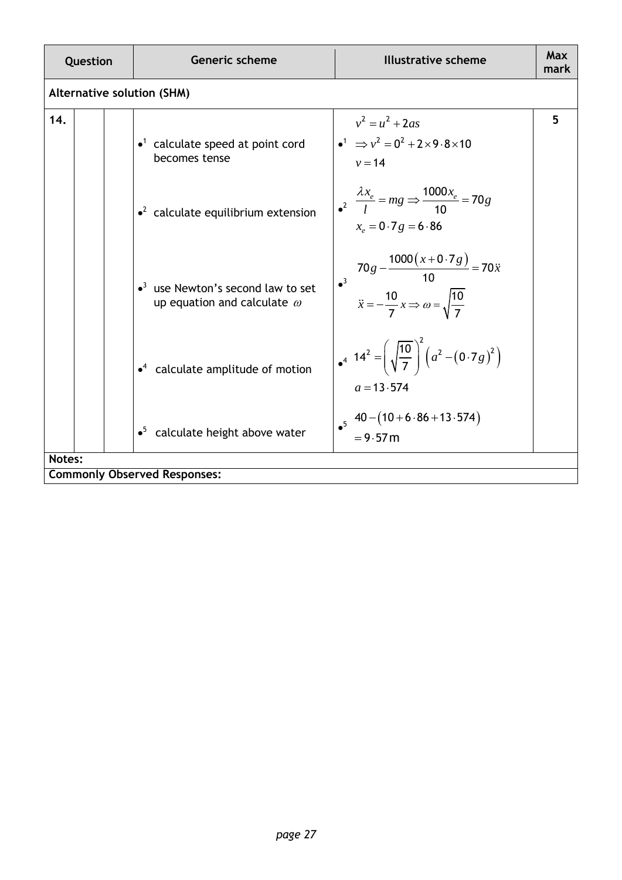| Question                          | <b>Generic scheme</b>                                                                       | <b>Illustrative scheme</b>                                                                                                          | Max<br>mark |
|-----------------------------------|---------------------------------------------------------------------------------------------|-------------------------------------------------------------------------------------------------------------------------------------|-------------|
| <b>Alternative solution (SHM)</b> |                                                                                             |                                                                                                                                     |             |
| 14.                               | $\bullet$ <sup>1</sup> calculate speed at point cord<br>becomes tense                       | $v^2 = u^2 + 2as$<br>$\bullet^1 \Rightarrow v^2 = 0^2 + 2 \times 9.8 \times 10$<br>$v = 14$                                         | 5           |
|                                   | $\cdot^2$ calculate equilibrium extension                                                   | $\frac{\lambda x_e}{l} = mg \Rightarrow \frac{1000x_e}{10} = 70g$<br>$x_e = 0.7g = 6.86$                                            |             |
|                                   | $\bullet$ <sup>3</sup> use Newton's second law to set<br>up equation and calculate $\omega$ | $70g - \frac{1000(x+0.7g)}{10} = 70\ddot{x}$<br>$\bullet^3$<br>$\ddot{x} = -\frac{10}{7}x \Rightarrow \omega = \sqrt{\frac{10}{7}}$ |             |
|                                   | $\bullet$ <sup>4</sup> calculate amplitude of motion                                        | $4^{4}$ 14 <sup>2</sup> = $\left(\sqrt{\frac{10}{7}}\right)^{2}\left(a^{2}-(0.7g)^{2}\right)$<br>$a = 13.574$                       |             |
|                                   | $\bullet^5$ calculate height above water                                                    | $40 - (10 + 6.86 + 13.574)$<br>$= 9.57 m$                                                                                           |             |
| Notes:                            | <b>Commonly Observed Responses:</b>                                                         |                                                                                                                                     |             |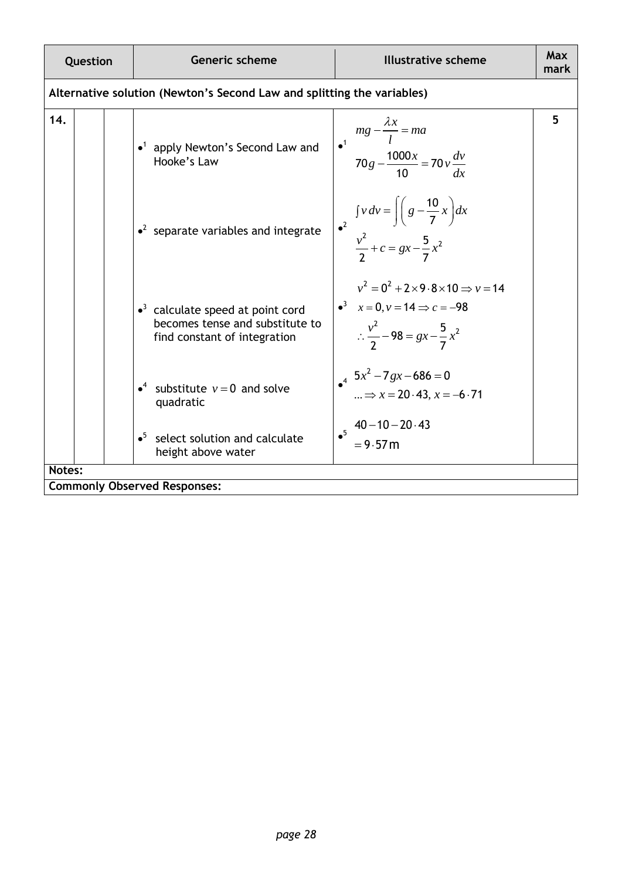| Question                                                               | Generic scheme                                                                                                        | <b>Illustrative scheme</b>                                                                                                                           | Max<br>mark |  |  |
|------------------------------------------------------------------------|-----------------------------------------------------------------------------------------------------------------------|------------------------------------------------------------------------------------------------------------------------------------------------------|-------------|--|--|
| Alternative solution (Newton's Second Law and splitting the variables) |                                                                                                                       |                                                                                                                                                      |             |  |  |
| 14.                                                                    | $\bullet$ <sup>1</sup> apply Newton's Second Law and<br>Hooke's Law                                                   | $mg - \frac{\lambda x}{l} = ma$<br>$70g - \frac{1000x}{10} = 70v \frac{dv}{dx}$<br>$\bullet^1$                                                       | 5           |  |  |
|                                                                        | $\cdot^2$ separate variables and integrate                                                                            | $\int_{a^2} f v dv = \int \left( g - \frac{10}{7} x \right) dx$<br>$\frac{v^2}{2} + c = gx - \frac{5}{7}x^2$                                         |             |  |  |
|                                                                        | $\cdot$ <sup>3</sup> calculate speed at point cord<br>becomes tense and substitute to<br>find constant of integration | $v^2 = 0^2 + 2 \times 9.8 \times 10 \Rightarrow v = 14$<br>$x = 0, y = 14 \implies c = -98$<br>$\therefore \frac{v^2}{2} - 98 = gx - \frac{5}{7}x^2$ |             |  |  |
|                                                                        | • <sup>4</sup> substitute $v=0$ and solve<br>quadratic                                                                | $5x^2 - 7gx - 686 = 0$<br>$\therefore \Rightarrow x = 20.43, x = -6.71$                                                                              |             |  |  |
|                                                                        | select solution and calculate<br>$\bullet^5$<br>height above water                                                    | $40 - 10 - 20.43$<br>$\bullet^5$<br>$= 9.57 m$                                                                                                       |             |  |  |
| Notes:<br><b>Commonly Observed Responses:</b>                          |                                                                                                                       |                                                                                                                                                      |             |  |  |
|                                                                        |                                                                                                                       |                                                                                                                                                      |             |  |  |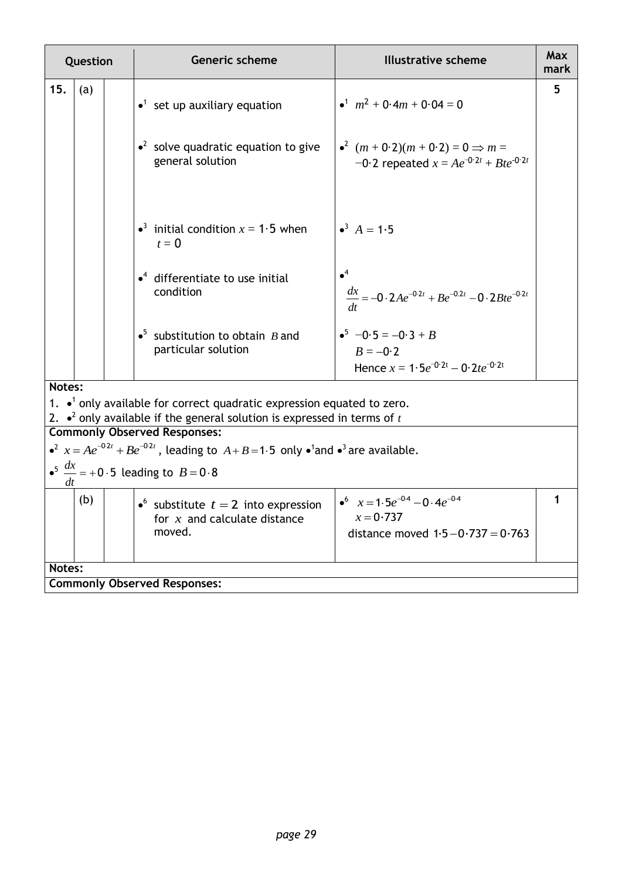| Question                                             |                                                                                            |  | <b>Generic scheme</b>                                                                                                         | <b>Illustrative scheme</b>                                                               | Max<br>mark |
|------------------------------------------------------|--------------------------------------------------------------------------------------------|--|-------------------------------------------------------------------------------------------------------------------------------|------------------------------------------------------------------------------------------|-------------|
| 15.                                                  | (a)                                                                                        |  | $\bullet$ <sup>1</sup> set up auxiliary equation                                                                              | $\bullet^1$ $m^2$ + 0.4m + 0.04 = 0                                                      | 5           |
|                                                      |                                                                                            |  | • <sup>2</sup> solve quadratic equation to give<br>general solution                                                           | • $(m + 0.2)(m + 0.2) = 0 \implies m =$<br>-0.2 repeated $x = Ae^{-0.2t} + Bte^{-0.2t}$  |             |
|                                                      |                                                                                            |  | • <sup>3</sup> initial condition $x = 1.5$ when<br>$t=0$                                                                      | $A = 1.5$                                                                                |             |
|                                                      |                                                                                            |  | $\cdot$ <sup>4</sup> differentiate to use initial<br>condition                                                                | $\bullet^4$<br>$\frac{dx}{dt} = -0.2Ae^{-0.2t} + Be^{-0.2t} - 0.2Bte^{-0.2t}$            |             |
|                                                      |                                                                                            |  | $\bullet^5$ substitution to obtain B and<br>particular solution                                                               | $-6.5 = -0.3 + B$<br>$B = -0.2$<br>Hence $x = 1.5e^{-0.2t} - 0.2te^{-0.2t}$              |             |
| Notes:                                               |                                                                                            |  |                                                                                                                               |                                                                                          |             |
|                                                      | 1. $\bullet$ <sup>1</sup> only available for correct quadratic expression equated to zero. |  |                                                                                                                               |                                                                                          |             |
|                                                      |                                                                                            |  | 2. $\bullet^2$ only available if the general solution is expressed in terms of t<br><b>Commonly Observed Responses:</b>       |                                                                                          |             |
|                                                      |                                                                                            |  | • <sup>2</sup> $x = Ae^{-0.2t} + Be^{-0.2t}$ , leading to $A + B = 1.5$ only • <sup>1</sup> and • <sup>3</sup> are available. |                                                                                          |             |
| $\bullet^5 \frac{dx}{x} = +0.5$ leading to $B = 0.8$ |                                                                                            |  |                                                                                                                               |                                                                                          |             |
|                                                      | (b)                                                                                        |  | • substitute $t = 2$ into expression<br>for $x$ and calculate distance<br>moved.                                              | • $x = 1.5e^{-0.4} - 0.4e^{-0.4}$<br>$x = 0.737$<br>distance moved $1.5 - 0.737 = 0.763$ | 1           |
| Notes:                                               |                                                                                            |  |                                                                                                                               |                                                                                          |             |
| <b>Commonly Observed Responses:</b>                  |                                                                                            |  |                                                                                                                               |                                                                                          |             |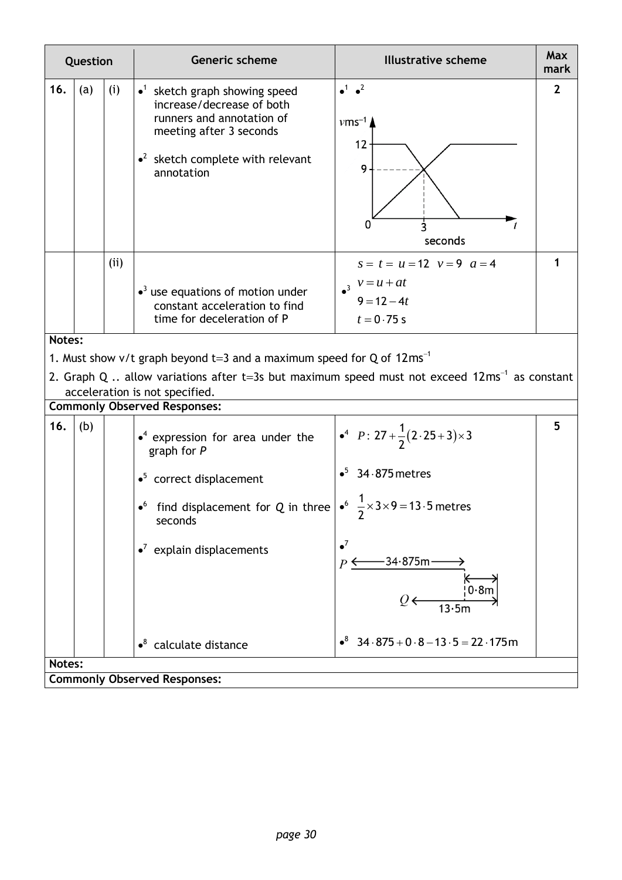| Question                            |                                                                                                                                             |     | Generic scheme                                                                                                                                                                                                                                                                  | <b>Illustrative scheme</b>                                                                                                                                                                                                         | Max<br>mark    |
|-------------------------------------|---------------------------------------------------------------------------------------------------------------------------------------------|-----|---------------------------------------------------------------------------------------------------------------------------------------------------------------------------------------------------------------------------------------------------------------------------------|------------------------------------------------------------------------------------------------------------------------------------------------------------------------------------------------------------------------------------|----------------|
| 16.                                 | (a)                                                                                                                                         | (i) | $\bullet$ <sup>1</sup> sketch graph showing speed<br>increase/decrease of both<br>runners and annotation of<br>meeting after 3 seconds<br>$\bullet^2$ sketch complete with relevant<br>annotation                                                                               | $\bullet^1$ $\bullet^2$<br>$\nu$ ms <sup>-1</sup><br>12<br>9<br>0<br>seconds                                                                                                                                                       | $\overline{2}$ |
|                                     |                                                                                                                                             | (i) | $\bullet$ <sup>3</sup> use equations of motion under<br>constant acceleration to find<br>time for deceleration of P                                                                                                                                                             | $s = t = u = 12$ $v = 9$ $a = 4$<br>$v = u + at$<br>$9 = 12 - 4t$<br>$t = 0.75 s$                                                                                                                                                  |                |
| Notes:                              |                                                                                                                                             |     |                                                                                                                                                                                                                                                                                 |                                                                                                                                                                                                                                    |                |
|                                     |                                                                                                                                             |     | 1. Must show v/t graph beyond t=3 and a maximum speed for Q of $12 \text{ms}^{-1}$                                                                                                                                                                                              |                                                                                                                                                                                                                                    |                |
|                                     | 2. Graph Q  allow variations after t=3s but maximum speed must not exceed $12 \text{ms}^{-1}$ as constant<br>acceleration is not specified. |     |                                                                                                                                                                                                                                                                                 |                                                                                                                                                                                                                                    |                |
|                                     |                                                                                                                                             |     | <b>Commonly Observed Responses:</b>                                                                                                                                                                                                                                             |                                                                                                                                                                                                                                    |                |
| 16.                                 | (b)                                                                                                                                         |     | $\bullet^4$ expression for area under the<br>graph for $P$<br>$\bullet^5$ correct displacement<br>find displacement for Q in three $\frac{1}{2} \times 3 \times 9 = 13.5$ metres<br>$\bullet^6$<br>seconds<br>$\cdot^7$ explain displacements<br>$\bullet^8$ calculate distance | $P: 27 + \frac{1}{2}(2.25+3) \times 3$<br>$\cdot$ <sup>5</sup> 34.875 metres<br>2<br>$\bullet^7$<br>$-34.875m$<br>$P \Leftrightarrow$<br>0.8m<br>13.5m<br>$\cdot^8$ 34 $\cdot$ 875 + 0 $\cdot$ 8 – 13 $\cdot$ 5 = 22 $\cdot$ 175 m | 5              |
| Notes:                              |                                                                                                                                             |     |                                                                                                                                                                                                                                                                                 |                                                                                                                                                                                                                                    |                |
| <b>Commonly Observed Responses:</b> |                                                                                                                                             |     |                                                                                                                                                                                                                                                                                 |                                                                                                                                                                                                                                    |                |